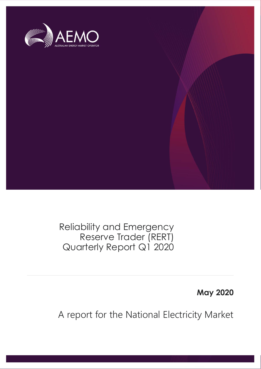

Reliability and Emergency Reserve Trader (RERT) Quarterly Report Q1 2020

**May 2020**

A report for the National Electricity Market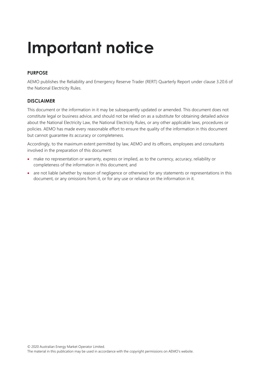# **Important notice**

#### **PURPOSE**

AEMO publishes the Reliability and Emergency Reserve Trader (RERT) Quarterly Report under clause 3.20.6 of the National Electricity Rules.

#### **DISCLAIMER**

This document or the information in it may be subsequently updated or amended. This document does not constitute legal or business advice, and should not be relied on as a substitute for obtaining detailed advice about the National Electricity Law, the National Electricity Rules, or any other applicable laws, procedures or policies. AEMO has made every reasonable effort to ensure the quality of the information in this document but cannot guarantee its accuracy or completeness.

Accordingly, to the maximum extent permitted by law, AEMO and its officers, employees and consultants involved in the preparation of this document:

- make no representation or warranty, express or implied, as to the currency, accuracy, reliability or completeness of the information in this document; and
- are not liable (whether by reason of negligence or otherwise) for any statements or representations in this document, or any omissions from it, or for any use or reliance on the information in it.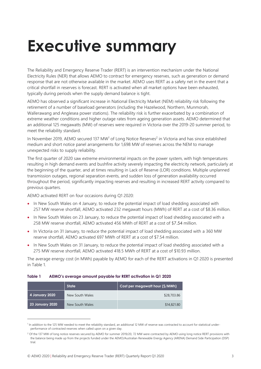# <span id="page-2-0"></span>**Executive summary**

The Reliability and Emergency Reserve Trader (RERT) is an intervention mechanism under the National Electricity Rules (NER) that allows AEMO to contract for emergency reserves, such as generation or demand response that are not otherwise available in the market. AEMO uses RERT as a safety net in the event that a critical shortfall in reserves is forecast. RERT is activated when all market options have been exhausted, typically during periods when the supply demand balance is tight.

AEMO has observed a significant increase in National Electricity Market (NEM) reliability risk following the retirement of a number of baseload generators (including the Hazelwood, Northern, Munmorah, Wallerawang and Anglesea power stations). The reliability risk is further exacerbated by a combination of extreme weather conditions and higher outage rates from ageing generation assets. AEMO determined that an additional 125 megawatts (MW) of reserves were required in Victoria over the 2019-20 summer period, to meet the reliability standard.

In November 2019, AEMO secured 137 MW<sup>1</sup> of Long Notice Reserves<sup>2</sup> in Victoria and has since established medium and short notice panel arrangements for 1,698 MW of reserves across the NEM to manage unexpected risks to supply reliability.

The first quarter of 2020 saw extreme environmental impacts on the power system, with high temperatures resulting in high demand events and bushfire activity severely impacting the electricity network, particularly at the beginning of the quarter, and at times resulting in Lack of Reserve (LOR) conditions. Multiple unplanned transmission outages, regional separation events, and sudden loss of generation availability occurred throughout the period, significantly impacting reserves and resulting in increased RERT activity compared to previous quarters.

AEMO activated RERT on four occasions during Q1 2020:

- In New South Wales on 4 January, to reduce the potential impact of load shedding associated with 257 MW reserve shortfall, AEMO activated 232 megawatt hours (MWh) of RERT at a cost of \$8.36 million.
- In New South Wales on 23 January, to reduce the potential impact of load shedding associated with a 258 MW reserve shortfall, AEMO activated 456 MWh of RERT at a cost of \$7.54 million.
- In Victoria on 31 January, to reduce the potential impact of load shedding associated with a 360 MW reserve shortfall, AEMO activated 697 MWh of RERT at a cost of \$7.54 million.
- In New South Wales on 31 January, to reduce the potential impact of load shedding associated with a 275 MW reserve shortfall, AEMO activated 418.5 MWh of RERT at a cost of \$10.93 million.

The average energy cost (in MWh) payable by AEMO for each of the RERT activations in Q1 2020 is presented in Table 1.

<span id="page-2-1"></span>

| Table 1 |  | AEMO's average amount payable for RERT activation in Q1 2020 |  |
|---------|--|--------------------------------------------------------------|--|
|---------|--|--------------------------------------------------------------|--|

|                        | <b>State</b>    | Cost per megawatt hour (\$/MWh) |
|------------------------|-----------------|---------------------------------|
| 4 January 2020         | New South Wales | \$28,703.86                     |
| <b>23 January 2020</b> | New South Wales | \$14,821,80                     |

<sup>&</sup>lt;sup>1</sup> In addition to the 125 MW needed to meet the reliability standard, an additional 12 MW of reserve was contracted to account for statistical underperformance of contracted reserves when called upon on a given day.

<sup>&</sup>lt;sup>2</sup> Of the 137 MW of long notice reserves secured by AEMO for summer 2019/20, 72 MW were contracted by AEMO using long notice RERT provisions with the balance being made up from the projects funded under the AEMO/Australian Renewable Energy Agency (ARENA) Demand Side Participation (DSP) trial.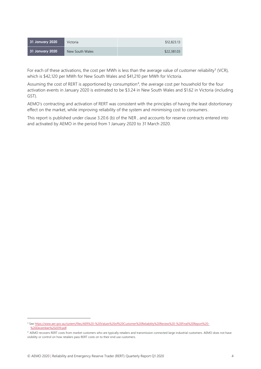| 31 January 2020 | Victoria        | \$12,823.13 |
|-----------------|-----------------|-------------|
| 31 January 2020 | New South Wales | \$22,381.03 |

For each of these activations, the cost per MWh is less than the average value of customer reliability<sup>3</sup> (VCR), which is \$42,120 per MWh for New South Wales and \$41,210 per MWh for Victoria.

Assuming the cost of RERT is apportioned by consumption<sup>4</sup>, the average cost per household for the four activation events in January 2020 is estimated to be \$3.24 in New South Wales and \$1.62 in Victoria (including GST).

AEMO's contracting and activation of RERT was consistent with the principles of having the least distortionary effect on the market, while improving reliability of the system and minimising cost to consumers.

This report is published under clause 3.20.6 (b) of the NER , and accounts for reserve contracts entered into and activated by AEMO in the period from 1 January 2020 to 31 March 2020.

<sup>3</sup> Se[e https://www.aer.gov.au/system/files/AER%20-%20Values%20of%20Customer%20Reliability%20Review%20-%20Final%20Report%20-](https://www.aer.gov.au/system/files/AER%20-%20Values%20of%20Customer%20Reliability%20Review%20-%20Final%20Report%20-%20December%202019.pdf) [%20December%202019.pdf.](https://www.aer.gov.au/system/files/AER%20-%20Values%20of%20Customer%20Reliability%20Review%20-%20Final%20Report%20-%20December%202019.pdf)

<sup>4</sup> AEMO recovers RERT costs from *market customers* who are typically retailers and transmission connected large industrial customers. AEMO does not have visibility or control on how retailers pass RERT costs on to their end use customers.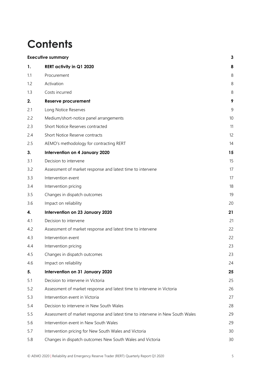# **Contents**

|     | <b>Executive summary</b>                                                      | 3  |
|-----|-------------------------------------------------------------------------------|----|
| 1.  | <b>RERT activity in Q1 2020</b>                                               | 8  |
| 1.1 | Procurement                                                                   | 8  |
| 1.2 | Activation                                                                    | 8  |
| 1.3 | Costs incurred                                                                | 8  |
| 2.  | <b>Reserve procurement</b>                                                    | 9  |
| 2.1 | Long Notice Reserves                                                          | 9  |
| 2.2 | Medium/short-notice panel arrangements                                        | 10 |
| 2.3 | Short Notice Reserves contracted                                              | 11 |
| 2.4 | Short Notice Reserve contracts                                                | 12 |
| 2.5 | AEMO's methodology for contracting RERT                                       | 14 |
| 3.  | Intervention on 4 January 2020                                                | 15 |
| 3.1 | Decision to intervene                                                         | 15 |
| 3.2 | Assessment of market response and latest time to intervene                    | 17 |
| 3.3 | Intervention event                                                            | 17 |
| 3.4 | Intervention pricing                                                          | 18 |
| 3.5 | Changes in dispatch outcomes                                                  | 19 |
| 3.6 | Impact on reliability                                                         | 20 |
| 4.  | Intervention on 23 January 2020                                               | 21 |
| 4.1 | Decision to intervene                                                         | 21 |
| 4.2 | Assessment of market response and latest time to intervene                    | 22 |
| 4.3 | Intervention event                                                            | 22 |
| 4.4 | Intervention pricing                                                          | 23 |
| 4.5 | Changes in dispatch outcomes                                                  | 23 |
| 4.6 | Impact on reliability                                                         | 24 |
| 5.  | Intervention on 31 January 2020                                               | 25 |
| 5.1 | Decision to intervene in Victoria                                             | 25 |
| 5.2 | Assessment of market response and latest time to intervene in Victoria        | 26 |
| 5.3 | Intervention event in Victoria                                                | 27 |
| 5.4 | Decision to intervene in New South Wales                                      | 28 |
| 5.5 | Assessment of market response and latest time to intervene in New South Wales | 29 |
| 5.6 | Intervention event in New South Wales                                         | 29 |
| 5.7 | Intervention pricing for New South Wales and Victoria                         | 30 |
| 5.8 | Changes in dispatch outcomes New South Wales and Victoria                     | 30 |
|     |                                                                               |    |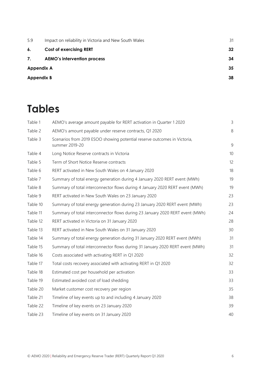| 5.9               | Impact on reliability in Victoria and New South Wales | 31 |
|-------------------|-------------------------------------------------------|----|
| 6.                | <b>Cost of exercising RERT</b>                        | 32 |
| 7.                | <b>AEMO's intervention process</b>                    | 34 |
|                   | <b>Appendix A</b>                                     | 35 |
| <b>Appendix B</b> |                                                       | 38 |

# **Tables**

| Table 1  | AEMO's average amount payable for RERT activation in Quarter 1 2020                        | 3  |
|----------|--------------------------------------------------------------------------------------------|----|
| Table 2  | AEMO's amount payable under reserve contracts, Q1 2020                                     | 8  |
| Table 3  | Scenarios from 2019 ESOO showing potential reserve outcomes in Victoria,<br>summer 2019-20 | 9  |
| Table 4  | Long Notice Reserve contracts in Victoria                                                  | 10 |
| Table 5  | Term of Short Notice Reserve contracts                                                     | 12 |
| Table 6  | RERT activated in New South Wales on 4 January 2020                                        | 18 |
| Table 7  | Summary of total energy generation during 4 January 2020 RERT event (MWh)                  | 19 |
| Table 8  | Summary of total interconnector flows during 4 January 2020 RERT event (MWh)               | 19 |
| Table 9  | RERT activated in New South Wales on 23 January 2020                                       | 23 |
| Table 10 | Summary of total energy generation during 23 January 2020 RERT event (MWh)                 | 23 |
| Table 11 | Summary of total interconnector flows during 23 January 2020 RERT event (MWh)              | 24 |
| Table 12 | RERT activated in Victoria on 31 January 2020                                              | 28 |
| Table 13 | RERT activated in New South Wales on 31 January 2020                                       | 30 |
| Table 14 | Summary of total energy generation during 31 January 2020 RERT event (MWh)                 | 31 |
| Table 15 | Summary of total interconnector flows during 31 January 2020 RERT event (MWh)              | 31 |
| Table 16 | Costs associated with activating RERT in Q1 2020                                           | 32 |
| Table 17 | Total costs recovery associated with activating RERT in Q1 2020                            | 32 |
| Table 18 | Estimated cost per household per activation                                                | 33 |
| Table 19 | Estimated avoided cost of load shedding                                                    | 33 |
| Table 20 | Market customer cost recovery per region                                                   | 35 |
| Table 21 | Timeline of key events up to and including 4 January 2020                                  | 38 |
| Table 22 | Timeline of key events on 23 January 2020                                                  | 39 |
| Table 23 | Timeline of key events on 31 January 2020                                                  | 40 |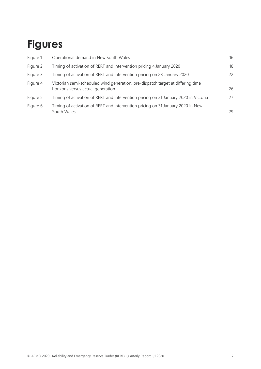# **Figures**

| Figure 1 | Operational demand in New South Wales                                                                                | 16 |
|----------|----------------------------------------------------------------------------------------------------------------------|----|
| Figure 2 | Timing of activation of RERT and intervention pricing 4 January 2020                                                 | 18 |
| Figure 3 | Timing of activation of RERT and intervention pricing on 23 January 2020                                             | 22 |
| Figure 4 | Victorian semi-scheduled wind generation, pre-dispatch target at differing time<br>horizons versus actual generation | 26 |
| Figure 5 | Timing of activation of RERT and intervention pricing on 31 January 2020 in Victoria                                 | 27 |
| Figure 6 | Timing of activation of RERT and intervention pricing on 31 January 2020 in New<br>South Wales                       | 29 |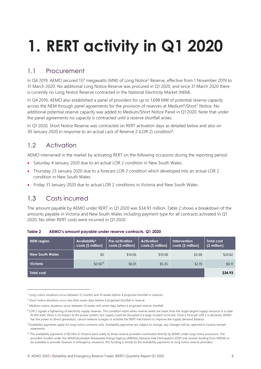# <span id="page-7-0"></span>**1. RERT activity in Q1 2020**

## <span id="page-7-1"></span>1.1 Procurement

In Q4 2019, AEMO secured 137 megawatts (MW) of Long Notice<sup>5</sup> Reserve, effective from 1 November 2019 to 31 March 2020. No additional Long Notice Reserve was procured in Q1 2020, and since 31 March 2020 there is currently no Long Notice Reserve contracted in the National Electricity Market (NEM).

In Q4 2019, AEMO also established a panel of providers for up to 1,698 MW of potential reserve capacity across the NEM through panel agreements for the provision of reserves at Medium<sup>6</sup>/Short<sup>7</sup> Notice. No additional potential reserve capacity was added to Medium/Short Notice Panel in Q1 2020. Note that under the panel agreements no capacity is contracted until a reserve shortfall arises.

In Q1 2020, Short Notice Reserve was contracted on RERT activation days as detailed below and also on 30 January 2020 in response to an actual Lack of Reserve 2 (LOR 2) condition<sup>8</sup>.

## <span id="page-7-2"></span>1.2 Activation

AEMO intervened in the market by activating RERT on the following occasions during the reporting period:

- Saturday 4 January 2020 due to an actual LOR 2 condition in New South Wales.
- Thursday 23 January 2020 due to a forecast LOR 2 condition which developed into an actual LOR 2 condition in New South Wales.
- Friday 31 January 2020 due to actual LOR 2 conditions in Victoria and New South Wales.

# <span id="page-7-3"></span>1.3 Costs incurred

The amount payable by AEMO under RERT in Q1 2020 was \$34.93 million. Table 2 shows a breakdown of the amounts payable in Victoria and New South Wales including payment type for all contracts activated in Q1 2020. No other RERT costs were incurred in Q1 2020.

| <b>NEM</b> region      | Availability <sup>9</sup><br>costs (\$ million) | <b>Pre-activation</b><br>costs (\$ million) | <b>Activation</b><br>costs (\$ million) | <b>Intervention</b><br>costs (\$ million) | Total cost<br>(\$ million) |
|------------------------|-------------------------------------------------|---------------------------------------------|-----------------------------------------|-------------------------------------------|----------------------------|
| <b>New South Wales</b> | \$0                                             | \$14.06                                     | \$10.08                                 | \$2.68                                    | \$26.82                    |
| <b>Victoria</b>        | $$0.56^{10}$                                    | \$0.01                                      | \$5.35                                  | \$2.19                                    | \$8.11                     |
| Total cost             |                                                 |                                             |                                         |                                           | \$34.93                    |

<span id="page-7-4"></span>**Table 2 AEMO's amount payable under reserve contracts, Q1 2020**

<sup>&</sup>lt;sup>5</sup> Long-notice situations occur between 12 months and 10 weeks before a projected shortfall in reserves.

<sup>&</sup>lt;sup>6</sup> Short-notice situations occur less than seven days before a projected shortfall in reserve.

<sup>7</sup> Medium-notice situations occur between 10 weeks and seven days before a projected reserve shortfall.

<sup>&</sup>lt;sup>8</sup> LOR 2 signals a tightening of electricity supply reserves. This condition exists when reserve levels are lower than the single largest supply resource in a state. At this level, there is no impact to the power system, but supply could be disrupted if a large incident occurred. Once a forecast LOR 2 is declared, AEMO has the power to direct generators, cancel network outages or activate the RERT mechanism to improve the supply demand balance.

<sup>9</sup> Availability payments apply for long notice contracts only. Availability payments are subject to change, any changes will be captured in routine revised statements.

<sup>10</sup> The availability payments of \$0.56m in Victoria went solely to those reserve providers contracted directly by AEMO under long notice provisions. The providers funded under the AEMO/Australian Renewable Energy Agency (ARENA) Demand Side Participation (DSP) trial receive funding from ARENA to be available to provide reserves in emergency situations, this funding is similar to the availability payments to long notice reserve providers.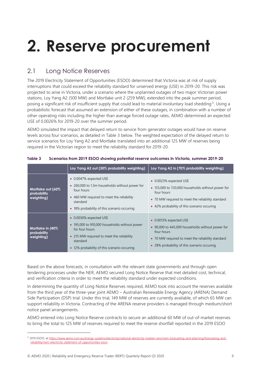# <span id="page-8-0"></span>**2. Reserve procurement**

### <span id="page-8-1"></span>2.1 Long Notice Reserves

The 2019 Electricity Statement of Opportunities (ESOO) determined that Victoria was at risk of supply interruptions that could exceed the reliability standard for unserved energy (USE) in 2019-20. This risk was projected to arise in Victoria, under a scenario where the unplanned outages of two major Victorian power stations, Loy Yang A2 (500 MW) and Mortlake unit 2 (259 MW), extended into the peak summer period, posing a significant risk of insufficient supply that could lead to material involuntary load shedding<sup>11</sup>. Using a probabilistic forecast that assumed an extension of either of these outages, in combination with a number of other operating risks including the higher than average forced outage rates, AEMO determined an expected USE of 0.0026% for 2019-20 over the summer period.

AEMO simulated the impact that delayed return to service from generator outages would have on reserve levels across four scenarios, as detailed in Table 3 below. The weighted expectation of the delayed return to service scenarios for Loy Yang A2 and Mortlake translated into an additional 125 MW of reserves being required in the Victorian region to meet the reliability standard for 2019-20.

|                                                | Loy Yang A2 out (30% probability weighting)                                                                                                                                                       | Loy Yang A2 in (70% probability weighting)                                                                                                                                                    |
|------------------------------------------------|---------------------------------------------------------------------------------------------------------------------------------------------------------------------------------------------------|-----------------------------------------------------------------------------------------------------------------------------------------------------------------------------------------------|
| Mortlake out (60%<br>probability<br>weighting) | • 0.0047% expected USE<br>• 260,000 to 1.3m households without power for<br>four hours<br>• 460 MW required to meet the reliability<br>standard<br>• 18% probability of this scenario occuring    | • 0.0023% expected USE<br>• 155,000 to 720,000 households without power for<br>four hours<br>• 70 MW required to meet the reliability standard<br>• 42% probability of this scenario occuring |
| Mortlake in (40%<br>probability<br>weighting)  | • 0.0030% expected USE<br>• 195,000 to 910,000 households without power<br>for four hours<br>• 215 MW required to meet the reliability<br>standard<br>• 12% probability of this scenario occuring | • 0.0013% expected USE<br>• 90,000 to 445,000 households without power for<br>four hours<br>• 70 MW required to meet the reliability standard<br>• 28% probability of this scenario occuring  |

<span id="page-8-2"></span>**Table 3 Scenarios from 2019 ESOO showing potential reserve outcomes in Victoria, summer 2019-20** 

Based on the above forecasts, in consultation with the relevant state governments and through open tendering processes under the NER, AEMO secured Long Notice Reserve that met detailed cost, technical, and verification criteria in order to meet the reliability standard under expected conditions.

In determining the quantity of Long Notice Reserves required, AEMO took into account the reserves available from the third year of the three-year joint AEMO – Australian Renewable Energy Agency (ARENA) Demand Side Participation (DSP) trial. Under this trial, 149 MW of reserves are currently available, of which 65 MW can support reliability in Victoria. Contracting of the ARENA reserve providers is managed through medium/short notice panel arrangements.

AEMO entered into Long Notice Reserve contracts to secure an additional 60 MW of out-of-market reserves to bring the total to 125 MW of reserves required to meet the reserve shortfall reported in the 2019 ESOO

<sup>11</sup> 2019 ESOO, a[t https://www.aemo.com.au/energy-systems/electricity/national-electricity-market-nem/nem-forecasting-and-planning/forecasting-and](https://www.aemo.com.au/energy-systems/electricity/national-electricity-market-nem/nem-forecasting-and-planning/forecasting-and-reliability/nem-electricity-statement-of-opportunities-esoo)[reliability/nem-electricity-statement-of-opportunities-esoo.](https://www.aemo.com.au/energy-systems/electricity/national-electricity-market-nem/nem-forecasting-and-planning/forecasting-and-reliability/nem-electricity-statement-of-opportunities-esoo)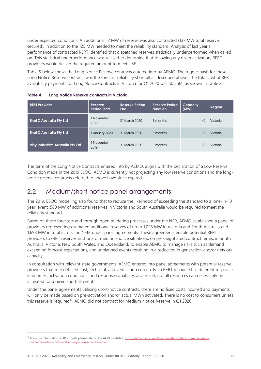under expected conditions. An additional 12 MW of reserve was also contracted (137 MW total reserve secured), in addition to the 125 MW needed to meet the reliability standard. Analysis of last year's performance of contracted RERT identified that dispatched reserves statistically underperformed when called on. This statistical underperformance was utilised to determine that following any given activation, RERT providers would deliver the required amount to meet USE.

Table 5 below shows the Long Notice Reserve contracts entered into by AEMO. The trigger basis for these Long Notice Reserve contracts was the forecast reliability shortfall as described above. The total cost of RERT availability payments for Long Notice Contracts in Victoria for Q1 2020 was \$0.56M, as shown in Table 2.

| <b>RERT Provider</b>                     | <b>Reserve</b><br><b>Period Start</b> | <b>Reserve Period</b><br>End | <b>Reserve Period</b><br>duration | Capacity<br>(MW) | Region   |
|------------------------------------------|---------------------------------------|------------------------------|-----------------------------------|------------------|----------|
| <b>Enel X Australia Pty Ltd</b>          | 1 November<br>2019                    | 31 March 2020                | 5 months                          | 42               | Victoria |
| <b>Enel X Australia Pty Ltd</b>          | 1 January 2020                        | 31 March 2020                | 3 months                          | 10               | Victoria |
| <b>Visy Industries Australia Pty Ltd</b> | 1 November<br>2019                    | 31 March 2020                | 5 months                          | 20               | Victoria |

<span id="page-9-1"></span>**Table 4 Long Notice Reserve contracts in Victoria**

The term of the Long Notice Contracts entered into by AEMO, aligns with the declaration of a Low Reserve Condition made in the 2019 ESOO. AEMO is currently not projecting any low reserve conditions and the longnotice reserve contracts referred to above have since expired.

#### <span id="page-9-0"></span>2.2 Medium/short-notice panel arrangements

The 2019, ESOO modelling also found that to reduce the likelihood of exceeding the standard to a 'one-in-10 year' event, 560 MW of additional reserves in Victoria and South Australia would be required to meet the reliability standard.

Based on these forecasts and through open tendering processes under the NER, AEMO established a panel of providers representing estimated additional reserves of up to 1,025 MW in Victoria and South Australia and 1,698 MW in total across the NEM under panel agreements. These agreements enable potential RERT providers to offer reserves in short- or medium-notice situations, on pre-negotiated contract terms, in South Australia, Victoria, New South Wales, and Queensland, to enable AEMO to manage risks such as demand exceeding forecast expectations, and unplanned events resulting in a reduction in generation and/or network capacity.

In consultation with relevant state governments, AEMO entered into panel agreements with potential reserve providers that met detailed cost, technical, and verification criteria. Each RERT resource has different response lead times, activation conditions, and response capability; as a result, not all resources can necessarily be activated for a given shortfall event.

Under the panel agreements utilising short-notice contracts, there are no fixed costs incurred and payments will only be made based on pre-activation and/or actual MWh activated. There is no cost to consumers unless this reserve is required<sup>12</sup>. AEMO did not contract for Medium Notice Reserve in Q1 2020.

<sup>12</sup> For more information on RERT costs please refer to the AEMO webstite: [https://aemo.com.au/en/energy-systems/electricity/emergency](https://aemo.com.au/en/energy-systems/electricity/emergency-management/reliability-and-emergency-reserve-trader-rert)[management/reliability-and-emergency-reserve-trader-rert](https://aemo.com.au/en/energy-systems/electricity/emergency-management/reliability-and-emergency-reserve-trader-rert)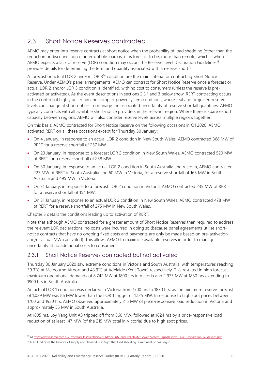### <span id="page-10-0"></span>2.3 Short Notice Reserves contracted

AEMO may enter into reserve contracts at short notice when the probability of load shedding (other than the reduction or disconnection of interruptible load) is, or is forecast to be, more than remote, which is when AEMO expects a lack of reserve (LOR) condition may occur. The Reserve Level Declaration Guidelines<sup>13</sup> provides details for determining the term and quantity associated with a reserve shortfall.

A forecast or actual LOR 2 and/or LOR 3<sup>14</sup> condition are the main criteria for contracting Short Notice Reserve. Under AEMO's panel arrangements, AEMO can contract for Short Notice Reserve once a forecast or actual LOR 2 and/or LOR 3 condition is identified, with no cost to consumers (unless the reserve is preactivated or activated). As the event descriptions in sections 2.3.1 and 3 below show, RERT contracting occurs in the context of highly uncertain and complex power system condtions, where real and projected reserve levels can change at short notice. To manage the associated uncertainty of reserve shortfall quantities, AEMO typically contracts with all available short-notice providers in the relevant region. Where there is spare export capacity between regions, AEMO will also consider reserve levels across multiple regions together.

On this basis, AEMO contracted for Short Notice Reserve on the following occasions in Q1 2020. AEMO activated RERT on all these occasions except for Thursday 30 January:

- On 4 January, in response to an actual LOR 2 condition in New South Wales, AEMO contracted 368 MW of RERT for a reserve shortfall of 257 MW.
- On 23 January, in response to a forecast LOR 2 condition in New South Wales, AEMO contracted 520 MW of RERT for a reserve shortfall of 258 MW.
- On 30 January, in response to an actual LOR 2 condition in South Australia and Victoria, AEMO contracted 227 MW of RERT in South Australia and 60 MW in Victoria, for a reserve shortfall of 165 MW in South Australia and 495 MW in Victoria.
- On 31 January, in response to a forecast LOR 2 condition in Victoria, AEMO contracted 235 MW of RERT for a reserve shortfall of 154 MW.
- On 31 January, in response to an actual LOR 2 condition in New South Wales, AEMO contracted 478 MW of RERT for a reserve shortfall of 275 MW in New South Wales.

Chapter 3 details the conditions leading up to activation of RERT.

Note that although AEMO contracted for a greater amount of Short Notice Reserves than required to address the relevant LOR declarations, no costs were incurred in doing so (because panel agreements utilise shortnotice contracts that have no ongoing fixed costs and payments are only be made based on pre-activation and/or actual MWh activated). This allows AEMO to maximise available reserves in order to manage uncertainty at no additional costs to consumers.

#### 2.3.1 Short Notice Reserves contracted but not activated

Thursday 30 January 2020 saw extreme conditions in Victoria and South Australia, with temperatures reaching 39.3°C at Melbourne Airport and 43.9°C at Adelaide (Kent Town) respectively. This resulted in high forecast maximum operational demands of 8,742 MW at 1800 hrs in Victoria and 2,973 MW at 1830 hrs extending to 1900 hrs in South Australia.

An actual LOR 1 condition was declared in Victoria from 1700 hrs to 1830 hrs, as the minimum reserve forecast of 1,039 MW was 86 MW lower than the LOR 1 trigger of 1,125 MW. In response to high spot prices between 1700 and 1930 hrs, AEMO observed approximately 215 MW of price-responsive load reduction in Victoria and approximately 55 MW in South Australia.

At 1805 hrs, Loy Yang Unit A3 tripped off from 560 MW, followed at 1824 hrs by a price-responsive load reduction of at least 147 MW (of the 215 MW total in Victoria) due to high spot prices.

<sup>13</sup> A[t https://www.aemo.com.au/-/media/Files/Electricity/NEM/Security\\_and\\_Reliability/Power\\_System\\_Ops/Reserve-Level-Declaration-Guidelines.pdf.](https://www.aemo.com.au/-/media/Files/Electricity/NEM/Security_and_Reliability/Power_System_Ops/Reserve-Level-Declaration-Guidelines.pdf)

<sup>&</sup>lt;sup>14</sup> LOR 3 indicates the balance of supply and demand is so tight that load shedding is imminent or has begun.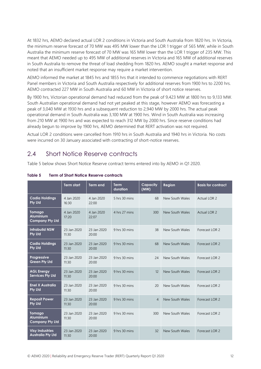At 1832 hrs, AEMO declared actual LOR 2 conditions in Victoria and South Australia from 1820 hrs. In Victoria, the minimum reserve forecast of 70 MW was 495 MW lower than the LOR 1 trigger of 565 MW, while in South Australia the minimum reserve forecast of 70 MW was 165 MW lower than the LOR 1 trigger of 235 MW. This meant that AEMO needed up to 495 MW of additional reserves in Victoria and 165 MW of additional reserves in South Australia to remove the threat of load shedding from 1820 hrs. AEMO sought a market response and noted that an insufficient market response may require a market intervention.

AEMO informed the market at 1845 hrs and 1855 hrs that it intended to commence negotiations with RERT Panel members in Victoria and South Australia respectively for additional reserves from 1900 hrs to 2200 hrs. AEMO contracted 227 MW in South Australia and 60 MW in Victoria of short notice reserves.

By 1900 hrs, Victorian operational demand had reduced from the peak of 9,423 MW at 1800 hrs to 9,133 MW. South Australian operational demand had not yet peaked at this stage, however AEMO was forecasting a peak of 3,040 MW at 1930 hrs and a subsequent reduction to 2,940 MW by 2000 hrs. The actual peak operational demand in South Australia was 3,100 MW at 1900 hrs. Wind in South Australia was increasing from 210 MW at 1900 hrs and was expected to reach 312 MW by 2000 hrs. Since reserve conditions had already begun to improve by 1900 hrs, AEMO determined that RERT activation was not required.

Actual LOR 2 conditions were cancelled from 1910 hrs in South Australia and 1940 hrs in Victoria. No costs were incurred on 30 January associated with contracting of short-notice reserves.

#### <span id="page-11-0"></span>2.4 Short Notice Reserve contracts

Table 5 below shows Short Notice Reserve contract terms entered into by AEMO in Q1 2020.

|                                                             | <b>Term start</b>    | <b>Term end</b>      | <b>Term</b><br>duration | Capacity<br>(MW) | Region          | <b>Basis for contract</b> |
|-------------------------------------------------------------|----------------------|----------------------|-------------------------|------------------|-----------------|---------------------------|
| <b>Cadia Holdings</b><br><b>Pty Ltd</b>                     | 4 Jan 2020<br>16:30  | 4 Jan 2020<br>22:00  | $5$ hrs $30$ mins       | 68               | New South Wales | Actual LOR 2              |
| <b>Tomago</b><br><b>Aluminium</b><br><b>Company Pty Ltd</b> | 4 Jan 2020<br>17:20  | 4 Jan 2020<br>22:07  | 4 hrs 27 mins           | 300              | New South Wales | Actual LOR 2              |
| <b>Infrabuild NSW</b><br><b>Pty Ltd</b>                     | 23 Jan 2020<br>11:30 | 23 Jan 2020<br>20:00 | 9 hrs 30 mins           | 38               | New South Wales | Forecast LOR 2            |
| <b>Cadia Holdings</b><br><b>Pty Ltd</b>                     | 23 Jan 2020<br>11:30 | 23 Jan 2020<br>20:00 | 9 hrs 30 mins           | 68               | New South Wales | Forecast LOR 2            |
| Progressive<br><b>Green Pty Ltd</b>                         | 23 Jan 2020<br>11:30 | 23 Jan 2020<br>20:00 | 9 hrs 30 mins           | 24               | New South Wales | Forecast LOR 2            |
| <b>AGL Energy</b><br><b>Services Pty Ltd</b>                | 23 Jan 2020<br>11:30 | 23 Jan 2020<br>20:00 | 9 hrs 30 mins           | 12               | New South Wales | Forecast LOR 2            |
| <b>Enel X Australia</b><br><b>Pty Ltd</b>                   | 23 Jan 2020<br>11:30 | 23 Jan 2020<br>20:00 | 9 hrs 30 mins           | 20               | New South Wales | Forecast LOR 2            |
| <b>Reposit Power</b><br><b>Pty Ltd</b>                      | 23 Jan 2020<br>11:30 | 23 Jan 2020<br>20:00 | 9 hrs 30 mins           | $\overline{4}$   | New South Wales | Forecast LOR 2            |
| <b>Tomago</b><br><b>Aluminium</b><br><b>Company Pty Ltd</b> | 23 Jan 2020<br>11:30 | 23 Jan 2020<br>20:00 | 9 hrs 30 mins           | 300              | New South Wales | Forecast LOR 2            |
| <b>Visy Industries</b><br><b>Australia Pty Ltd</b>          | 23 Jan 2020<br>11:30 | 23 Jan 2020<br>20:00 | 9 hrs 30 mins           | 32               | New South Wales | Forecast LOR 2            |

#### <span id="page-11-1"></span>**Table 5 Term of Short Notice Reserve contracts**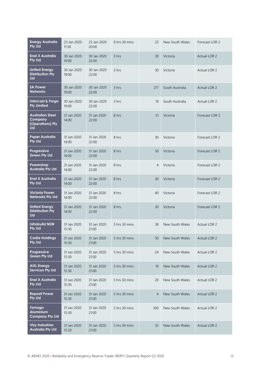| <b>Energy Australia</b><br><b>Pty Ltd</b>                     | 23 Jan 2020<br>11:30 | 23 Jan 2020<br>20:00 | 9 hrs 30 mins | 22             | New South Wales | Forecast LOR 2      |
|---------------------------------------------------------------|----------------------|----------------------|---------------|----------------|-----------------|---------------------|
| Enel X Australia<br><b>Pty Ltd</b>                            | 30 Jan 2020<br>19:00 | 30 Jan 2020<br>22:00 | 3 hrs         | 30             | Victoria        | <b>Actual LOR 2</b> |
| <b>United Energy</b><br><b>Distribution Pty</b><br><b>Ltd</b> | 30 Jan 2020<br>19:00 | 30 Jan 2020<br>22:00 | 3 hrs         | 30             | Victoria        | Actual LOR 2        |
| <b>SA Power</b><br><b>Networks</b>                            | 30 Jan 2020<br>19:00 | 30 Jan 2020<br>22:00 | 3 hrs         | 217            | South Australia | Actual LOR 2        |
| Intercast & Forge<br><b>Pty Limited</b>                       | 30 Jan 2020<br>19:00 | 30 Jan 2020<br>22:00 | 3 hrs         | 10             | South Australia | Actual LOR 2        |
| <b>Australian Steel</b><br>Company<br>(Operations) Pty<br>Ltd | 31 Jan 2020<br>14:00 | 31 Jan 2020<br>22:00 | 8 hrs         | 51             | Victoria        | Forecast LOR 2      |
| <b>Paper Australia</b><br><b>Pty Ltd</b>                      | 31 Jan 2020<br>14:00 | 31 Jan 2020<br>22:00 | 8 hrs         | 30             | Victoria        | Forecast LOR 2      |
| Progressive<br><b>Green Pty Ltd</b>                           | 31 Jan 2020<br>14:00 | 31 Jan 2020<br>22:00 | 8 hrs         | 50             | Victoria        | Forecast LOR 2      |
| Powershop<br><b>Australia Pty Ltd</b>                         | 31 Jan 2020<br>14:00 | 31 Jan 2020<br>22:00 | 8 hrs         | $\overline{4}$ | Victoria        | Forecast LOR 2      |
| <b>Enel X Australia</b><br><b>Pty Ltd</b>                     | 31 Jan 2020<br>14:00 | 31 Jan 2020<br>22:00 | 8 hrs         | 30             | Victoria        | Forecast LOR 2      |
| Victoria Power<br><b>Networks Pty Ltd</b>                     | 31 Jan 2020<br>14:00 | 31 Jan 2020<br>22:00 | 8 hrs         | 40             | Victoria        | Forecast LOR 2      |
| <b>United Energy</b><br><b>Distribution Pty</b><br>Ltd        | 31 Jan 2020<br>14:00 | 31 Jan 2020<br>22:00 | 8 hrs         | 30             | Victoria        | Forecast LOR 2      |
| <b>Infrabuild NSW</b><br><b>Pty Ltd</b>                       | 31 Jan 2020<br>15:30 | 31 Jan 2020<br>21:00 | 5 hrs 30 mins | 38             | New South Wales | Actual LOR 2        |
| <b>Cadia Holdings</b><br><b>Pty Ltd</b>                       | 31 Jan 2020<br>15:30 | 31 Jan 2020<br>21:00 | 5 hrs 30 mins | 50             | New South Wales | Actual LOR 2        |
| Progressive<br><b>Green Pty Ltd</b>                           | 31 Jan 2020<br>15:30 | 31 Jan 2020<br>21:00 | 5 hrs 30 mins | 24             | New South Wales | Actual LOR 2        |
| <b>AGL Energy</b><br><b>Services Pty Ltd</b>                  | 31 Jan 2020<br>15:30 | 31 Jan 2020<br>21:00 | 5 hrs 30 mins | 10             | New South Wales | Actual LOR 2        |
| <b>Enel X Australia</b><br><b>Pty Ltd</b>                     | 31 Jan 2020<br>15:30 | 31 Jan 2020<br>21:00 | 5 hrs 30 mins | 20             | New South Wales | Actual LOR 2        |
| <b>Reposit Power</b><br><b>Pty Ltd</b>                        | 31 Jan 2020<br>15:30 | 31 Jan 2020<br>21:00 | 5 hrs 30 mins | $\overline{4}$ | New South Wales | Actual LOR 2        |
| Tomago<br>Aluminium<br><b>Company Pty Ltd</b>                 | 31 Jan 2020<br>15:30 | 31 Jan 2020<br>21:00 | 5 hrs 30 mins | 300            | New South Wales | Actual LOR 2        |
| <b>Visy Industries</b><br><b>Australia Pty Ltd</b>            | 31 Jan 2020<br>15:30 | 31 Jan 2020<br>21:00 | 5 hrs 30 mins | 32             | New South Wales | Actual LOR 2        |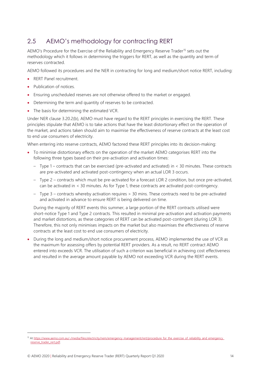## <span id="page-13-0"></span>2.5 AEMO's methodology for contracting RERT

AEMO's Procedure for the Exercise of the Reliability and Emergency Reserve Trader<sup>15</sup> sets out the methodology which it follows in determining the triggers for RERT, as well as the quantity and term of reserves contracted.

AEMO followed its procedures and the NER in contracting for long and medium/short notice RERT, including:

- RERT Panel recruitment.
- Publication of notices
- Ensuring unscheduled reserves are not otherwise offered to the market or engaged.
- Determining the term and quantity of reserves to be contracted.
- The basis for determining the estimated VCR.

Under NER clause 3.20.2(b), AEMO must have regard to the RERT principles in exercising the RERT. These principles stipulate that AEMO is to take actions that have the least distortionary effect on the operation of the market, and actions taken should aim to maximise the effectiveness of reserve contracts at the least cost to end use consumers of electricity.

When entering into reserve contracts, AEMO factored these RERT principles into its decision-making:

- To minimise distortionary effects on the operation of the market AEMO categorises RERT into the following three types based on their pre-activation and activation times:
	- Type 1 contracts that can be exercised (pre-activated and activated) in < 30 minutes. These contracts are pre-activated and activated post-contingency when an actual LOR 3 occurs.
	- Type 2 contracts which must be pre-activated for a forecast LOR 2 condition, but once pre-activated, can be activated in < 30 minutes. As for Type 1, these contracts are activated post-contingency.
	- Type 3 contracts whereby activation requires > 30 mins. These contracts need to be pre-activated and activated in advance to ensure RERT is being delivered on time.

During the majority of RERT events this summer, a large portion of the RERT contracts utilised were short-notice Type 1 and Type 2 contracts. This resulted in minimal pre-activation and activation payments and market distortions, as these categories of RERT can be activated post-contingent (during LOR 3). Therefore, this not only minimises impacts on the market but also maximises the effectiveness of reserve contracts at the least cost to end use consumers of electricity.

• During the long and medium/short notice procurement process, AEMO implemented the use of VCR as the maximum for assessing offers by potential RERT providers. As a result, no RERT contract AEMO entered into exceeds VCR. The utilisation of such a criterion was beneficial in achieving cost effectiveness and resulted in the average amount payable by AEMO not exceeding VCR during the RERT events.

<sup>15</sup> At https://www.aemo.com.au/-/media/files/electricity/nem/emergency\_management/rert/procedure\_for\_the\_exercise\_of\_reliability\_and\_emergency [reserve\\_trader\\_rert.pdf.](https://www.aemo.com.au/-/media/files/electricity/nem/emergency_management/rert/procedure_for_the_exercise_of_reliability_and_emergency_reserve_trader_rert.pdf)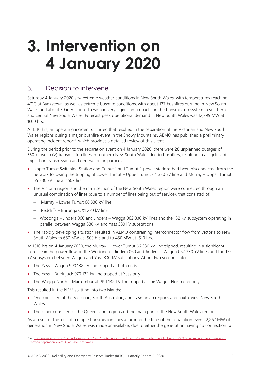# <span id="page-14-0"></span>**3. Intervention on 4 January 2020**

### <span id="page-14-1"></span>3.1 Decision to intervene

Saturday 4 January 2020 saw extreme weather conditions in New South Wales, with temperatures reaching 47°C at Bankstown, as well as extreme bushfire conditions, with about 137 bushfires burning in New South Wales and about 50 in Victoria. These had very significant impacts on the transmission system in southern and central New South Wales. Forecast peak operational demand in New South Wales was 12,299 MW at 1600 hrs.

At 1510 hrs, an operating incident occurred that resulted in the separation of the Victorian and New South Wales regions during a major bushfire event in the Snowy Mountains. AEMO has published a preliminary operating incident report<sup>16</sup> which provides a detailed review of this event.

During the period prior to the separation event on 4 January 2020, there were 28 unplanned outages of 330 kilovolt (kV) transmission lines in southern New South Wales due to bushfires, resulting in a significant impact on transmission and generation, in particular:

- Upper Tumut Switching Station and Tumut 1 and Tumut 2 power stations had been disconnected from the network following the tripping of Lower Tumut – Upper Tumut 64 330 kV line and Murray – Upper Tumut 65 330 kV line at 1507 hrs.
- The Victoria region and the main section of the New South Wales region were connected through an unusual combination of lines (due to a number of lines being out of service), that consisted of:
	- Murray Lower Tumut 66 330 kV line.
	- Redcliffs Buronga OX1 220 kV line.
	- Wodonga Jindera 060 and Jindera Wagga 062 330 kV lines and the 132 kV subsystem operating in parallel between Wagga 330 kV and Yass 330 kV substations.
- The rapidly developing situation resulted in AEMO constraining interconnector flow from Victoria to New South Wales to 650 MW at 1500 hrs and to 450 MW at 1510 hrs.

At 1510 hrs on 4 January 2020, the Murray – Lower Tumut 66 330 kV line tripped, resulting in a significant increase in the power flow on the Wodonga – Jindera 060 and Jindera – Wagga 062 330 kV lines and the 132 kV subsystem between Wagga and Yass 330 kV substations. About two seconds later:

- The Yass Wagga 990 132 kV line tripped at both ends.
- The Yass Burrinjuck 970 132 kV line tripped at Yass only.
- The Wagga North Murrumburrah 991 132 kV line tripped at the Wagga North end only.

This resulted in the NEM splitting into two islands:

- One consisted of the Victorian, South Australian, and Tasmanian regions and south-west New South Wales.
- The other consisted of the Queensland region and the main part of the New South Wales region.

As a result of the loss of multiple transmission lines at around the time of the separation event, 2,267 MW of generation in New South Wales was made unavailable, due to either the generation having no connection to

<sup>16</sup> A[t https://aemo.com.au/-/media/files/electricity/nem/market\\_notices\\_and\\_events/power\\_system\\_incident\\_reports/2020/preliminary-report-nsw-and](https://aemo.com.au/-/media/files/electricity/nem/market_notices_and_events/power_system_incident_reports/2020/preliminary-report-nsw-and-victoria-separation-event-4-jan-2020.pdf?la=en)[victoria-separation-event-4-jan-2020.pdf?la=en.](https://aemo.com.au/-/media/files/electricity/nem/market_notices_and_events/power_system_incident_reports/2020/preliminary-report-nsw-and-victoria-separation-event-4-jan-2020.pdf?la=en)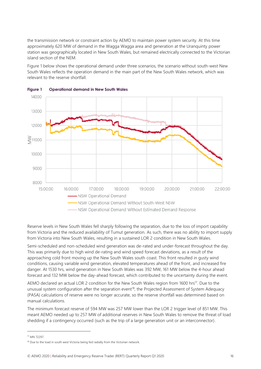the transmission network or constraint action by AEMO to maintain power system security. At this time approximately 620 MW of demand in the Wagga Wagga area and generation at the Uranquinty power station was geographically located in New South Wales, but remained electrically connected to the Victorian island section of the NEM.

Figure 1 below shows the operational demand under three scenarios, the scenario without south-west New South Wales reflects the operation demand in the main part of the New South Wales network, which was relevant to the reserve shortfall.



<span id="page-15-0"></span>

Reserve levels in New South Wales fell sharply following the separation, due to the loss of import capability from Victoria and the reduced availability of Tumut generation. As such, there was no ability to import supply from Victoria into New South Wales, resulting in a sustained LOR 2 condition in New South Wales.

Semi-scheduled and non-scheduled wind generation was de-rated and under-forecast throughout the day. This was primarily due to high wind de-rating and wind speed forecast deviations, as a result of the approaching cold front moving up the New South Wales south coast. This front resulted in gusty wind conditions, causing variable wind generation, elevated temperatures ahead of the front, and increased fire danger. At 1530 hrs, wind generation in New South Wales was 392 MW, 161 MW below the 4-hour ahead forecast and 132 MW below the day-ahead forecast, which contributed to the uncertainty during the event.

AEMO declared an actual LOR 2 condition for the New South Wales region from 1600 hrs<sup>17</sup>. Due to the unusual system configuration after the separation event<sup>18</sup>, the Projected Assessment of System Adequacy (PASA) calculations of reserve were no longer accurate, so the reserve shortfall was determined based on manual calculations.

The minimum forecast reserve of 594 MW was 257 MW lower than the LOR 2 trigger level of 851 MW. This meant AEMO needed up to 257 MW of additional reserves in New South Wales to remove the threat of load shedding if a contingency occurred (such as the trip of a large generation unit or an interconnector).

<sup>17</sup> MN 72297.

<sup>&</sup>lt;sup>18</sup> Due to the load in south west Victoria being fed radially from the Victorian network.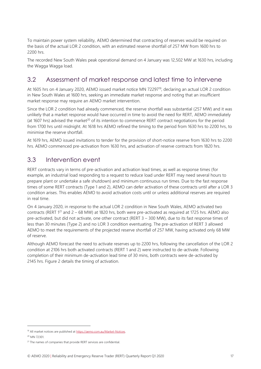To maintain power system reliability, AEMO determined that contracting of reserves would be required on the basis of the actual LOR 2 condition, with an estimated reserve shortfall of 257 MW from 1600 hrs to 2200 hrs.

The recorded New South Wales peak operational demand on 4 January was 12,502 MW at 1630 hrs, including the Wagga Wagga load.

### <span id="page-16-0"></span>3.2 Assessment of market response and latest time to intervene

At 1605 hrs on 4 January 2020, AEMO issued market notice MN 72297<sup>19</sup>, declaring an actual LOR 2 condition in New South Wales at 1600 hrs, seeking an immediate market response and noting that an insufficient market response may require an AEMO market intervention.

Since the LOR 2 condition had already commenced, the reserve shortfall was substantial (257 MW) and it was unlikely that a market response would have occurred in time to avoid the need for RERT, AEMO immediately (at 1607 hrs) advised the market<sup>20</sup> of its intention to commence RERT contract negotiations for the period from 1700 hrs until midnight. At 1618 hrs AEMO refined the timing to the period from 1630 hrs to 2200 hrs, to minimise the reserve shortfall.

At 1619 hrs, AEMO issued invitations to tender for the provision of short-notice reserve from 1630 hrs to 2200 hrs. AEMO commenced pre-activation from 1630 hrs, and activation of reserve contracts from 1820 hrs.

#### <span id="page-16-1"></span>3.3 Intervention event

RERT contracts vary in terms of pre-activation and activation lead times, as well as response times (for example, an industrial load responding to a request to reduce load under RERT may need several hours to prepare plant or undertake a safe shutdown) and minimum continuous run times. Due to the fast response times of some RERT contracts (Type 1 and 2), AEMO can defer activation of these contracts until after a LOR 3 condition arises. This enables AEMO to avoid activation costs until or unless additional reserves are required in real time.

On 4 January 2020, in response to the actual LOR 2 condition in New South Wales, AEMO activated two contracts (RERT 1<sup>21</sup> and 2 – 68 MW) at 1820 hrs, both were pre-activated as required at 1725 hrs. AEMO also pre-activated, but did not activate, one other contract (RERT 3 – 300 MW), due to its fast response times of less than 30 minutes (Type 2) and no LOR 3 condition eventuating. The pre-activation of RERT 3 allowed AEMO to meet the requirements of the projected reserve shortfall of 257 MW, having activated only 68 MW of reserve.

Although AEMO forecast the need to activate reserves up to 2200 hrs, following the cancellation of the LOR 2 condition at 2106 hrs both activated contracts (RERT 1 and 2) were instructed to de-activate. Following completion of their minimum de-activation lead time of 30 mins, both contracts were de-activated by 2145 hrs. Figure 2 details the timing of activation.

<sup>&</sup>lt;sup>19</sup> All market notices are published a[t https://aemo.com.au/Market-Notices.](https://aemo.com.au/Market-Notices)

<sup>20</sup> MN 72301.

<sup>&</sup>lt;sup>21</sup> The names of companies that provide RERT services are confidential.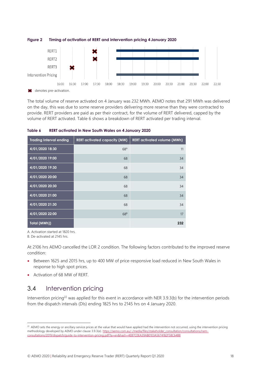

<span id="page-17-2"></span>

The total volume of reserve activated on 4 January was 232 MWh. AEMO notes that 291 MWh was delivered on the day, this was due to some reserve providers delivering more reserve than they were contracted to provide. RERT providers are paid as per their contract, for the volume of RERT delivered, capped by the volume of RERT activated. Table 6 shows a breakdown of RERT activated per trading interval.

<span id="page-17-1"></span>

| <b>Trading Interval ending</b> | <b>RERT</b> activated capacity (MW) | <b>RERT activated volume (MWh)</b> |
|--------------------------------|-------------------------------------|------------------------------------|
| 4/01/2020 18:30                | 68 <sup>A</sup>                     | 11                                 |
| 4/01/2020 19:00                | 68                                  | 34                                 |
| 4/01/2020 19:30                | 68                                  | 34                                 |
| 4/01/2020 20:00                | 68                                  | 34                                 |
| 4/01/2020 20:30                | 68                                  | 34                                 |
| 4/01/2020 21:00                | 68                                  | 34                                 |
| 4/01/2020 21:30                | 68                                  | 34                                 |
| 4/01/2020 22:00                | 68 <sup>B</sup>                     | 17                                 |
| Total (MWh))                   |                                     | 232                                |

A. Activation started at 1820 hrs.

B. De-activated at 2145 hrs.

At 2106 hrs AEMO cancelled the LOR 2 condition. The following factors contributed to the improved reserve condition:

- Between 1625 and 2015 hrs, up to 400 MW of price-responsive load reduced in New South Wales in response to high spot prices.
- <span id="page-17-0"></span>• Activation of 68 MW of RERT.

### 3.4 Intervention pricing

Intervention pricing<sup>22</sup> was applied for this event in accordance with NER 3.9.3(b) for the intervention periods from the dispatch intervals (DIs) ending 1825 hrs to 2145 hrs on 4 January 2020.

<sup>&</sup>lt;sup>22</sup> AEMO sets the energy or ancillary service prices at the value that would have applied had the intervention not occurred, using the intervention pricing methodology developed by AEMO under clause 3.9.3(e)[. https://aemo.com.au/-/media/files/stakeholder\\_consultation/consultations/nem](https://aemo.com.au/-/media/files/stakeholder_consultation/consultations/nem-consultations/2019/dispatch/guide-to-intervention-pricing.pdf?la=en&hash=4EB7C0EA39AB0103A5674182F58C64B8)[consultations/2019/dispatch/guide-to-intervention-pricing.pdf?la=en&hash=4EB7C0EA39AB0103A5674182F58C64B8](https://aemo.com.au/-/media/files/stakeholder_consultation/consultations/nem-consultations/2019/dispatch/guide-to-intervention-pricing.pdf?la=en&hash=4EB7C0EA39AB0103A5674182F58C64B8)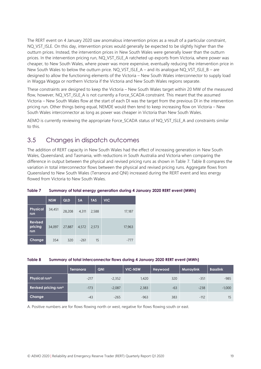The RERT event on 4 January 2020 saw anomalous intervention prices as a result of a particular constraint, NQ VST ISLE. On this day, intervention prices would generally be expected to be slightly higher than the outturn prices. Instead, the intervention prices in New South Wales were generally lower than the outturn prices. In the intervention pricing run, NQ\_VST\_ISLE\_A ratcheted up exports from Victoria, where power was cheaper, to New South Wales, where power was more expensive, eventually reducing the intervention price in New South Wales to below the outturn price. NQ\_VST\_ISLE\_A – and its analogue NQ\_VST\_ISLE\_B – are designed to allow the functioning elements of the Victoria – New South Wales interconnector to supply load in Wagga Wagga or northern Victoria if the Victoria and New South Wales regions separate.

These constraints are designed to keep the Victoria – New South Wales target within 20 MW of the measured flow, however, NQ\_VST\_ISLE\_A is not currently a Force\_SCADA constraint. This meant that the assumed Victoria – New South Wales flow at the start of each DI was the target from the previous DI in the intervention pricing run. Other things being equal, NEMDE would then tend to keep increasing flow on Victoria – New South Wales interconnector as long as power was cheaper in Victoria than New South Wales.

AEMO is currently reviewing the appropriate Force\_SCADA status of NQ\_VST\_ISLE\_A and constraints similar to this.

### <span id="page-18-0"></span>3.5 Changes in dispatch outcomes

The addition of RERT capacity in New South Wales had the effect of increasing generation in New South Wales, Queensland, and Tasmania, with reductions in South Australia and Victoria when comparing the difference in output between the physical and revised pricing runs as shown in Table 7. Table 8 compares the variation in total interconnector flows between the physical and revised pricing runs. Aggregate flows from Queensland to New South Wales (Terranora and QNI) increased during the RERT event and less energy flowed from Victoria to New South Wales.

|                                  | <b>NSW</b> | QLD    | <b>SA</b> | <b>TAS</b> | <b>VIC</b> |
|----------------------------------|------------|--------|-----------|------------|------------|
| <b>Physical</b><br>run           | 34,451     | 28,208 | 4,311     | 2,588      | 17,187     |
| <b>Revised</b><br>pricing<br>run | 34,097     | 27,887 | 4,572     | 2,573      | 17,963     |
| Change                           | 354        | 320    | $-261$    | 15         | -777       |

<span id="page-18-1"></span>**Table 7 Summary of total energy generation during 4 January 2020 RERT event (MWh)**

<span id="page-18-2"></span>

| Table 8 | Summary of total interconnector flows during 4 January 2020 RERT event (MWh) |  |
|---------|------------------------------------------------------------------------------|--|
|         |                                                                              |  |

|                                  | Terranora | <b>QNI</b> | <b>VIC-NSW</b> | Heywood | <b>Murraylink</b> | <b>Basslink</b> |
|----------------------------------|-----------|------------|----------------|---------|-------------------|-----------------|
| Physical run <sup>A</sup>        | $-217$    | $-2,352$   | 1,420          | 320     | $-351$            | $-985$          |
| Revised pricing run <sup>A</sup> | $-173$    | $-2,087$   | 2,383          | $-63$   | $-238$            | $-1,000$        |
| Change                           | $-43$     | $-265$     | $-963$         | 383     | $-112$            | 15              |

A. Positive numbers are for flows flowing north or west, negative for flows flowing south or east.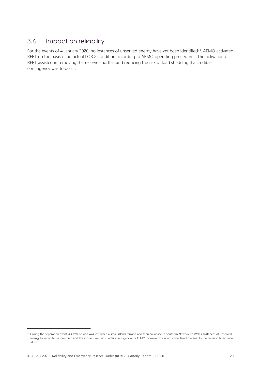#### <span id="page-19-0"></span>3.6 Impact on reliability

For the events of 4 January 2020, no instances of unserved energy have yet been identified<sup>23</sup>. AEMO activated RERT on the basis of an actual LOR 2 condition according to AEMO operating procedures. The activation of RERT assisted in removing the reserve shortfall and reducing the risk of load shedding if a credible contingency was to occur.

<sup>&</sup>lt;sup>23</sup> During the separation event, 43 MW of load was lost when a small island formed and then collapsed in southern New South Wales. Instances of unserved energy have yet to be identified and the incident remains under investigation by AEMO, however this is not considered material to the decision to activate RERT.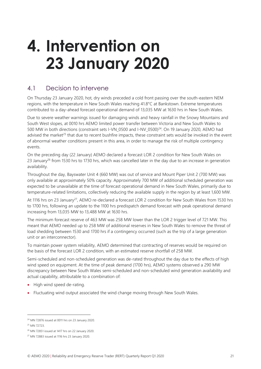# <span id="page-20-0"></span>**4. Intervention on 23 January 2020**

### <span id="page-20-1"></span>4.1 Decision to intervene

On Thursday 23 January 2020, hot, dry winds preceded a cold front passing over the south-eastern NEM regions, with the temperature in New South Wales reaching 41.8°C at Bankstown. Extreme temperatures contributed to a day-ahead forecast operational demand of 13,035 MW at 1630 hrs in New South Wales.

Due to severe weather warnings issued for damaging winds and heavy rainfall in the Snowy Mountains and South West slopes, at 0010 hrs AEMO limited power transfer between Victoria and New South Wales to 500 MW in both directions (constraint sets I-VN\_0500 and I-NV\_0500)<sup>24</sup>. On 19 January 2020, AEMO had advised the market<sup>25</sup> that due to recent bushfire impacts, these constraint sets would be invoked in the event of abnormal weather conditions present in this area, in order to manage the risk of multiple contingency events.

On the preceding day (22 January) AEMO declared a forecast LOR 2 condition for New South Wales on 23 January<sup>26</sup> from 1530 hrs to 1730 hrs, which was cancelled later in the day due to an increase in generation availability.

Throughout the day, Bayswater Unit 4 (660 MW) was out of service and Mount Piper Unit 2 (700 MW) was only available at approximately 50% capacity. Approximately 700 MW of additional scheduled generation was expected to be unavailable at the time of forecast operational demand in New South Wales, primarily due to temperature-related limitations, collectively reducing the available supply in the region by at least 1,600 MW.

At 1116 hrs on 23 January<sup>27</sup>, AEMO re-declared a forecast LOR 2 condition for New South Wales from 1530 hrs to 1700 hrs, following an update to the 1100 hrs predispatch demand forecast with peak operational demand increasing from 13,035 MW to 13,488 MW at 1630 hrs.

The minimum forecast reserve of 463 MW was 258 MW lower than the LOR 2 trigger level of 721 MW. This meant that AEMO needed up to 258 MW of additional reserves in New South Wales to remove the threat of load shedding between 1530 and 1700 hrs if a contingency occurred (such as the trip of a large generation unit or an interconnector).

To maintain power system reliability, AEMO determined that contracting of reserves would be required on the basis of the forecast LOR 2 condition, with an estimated reserve shortfall of 258 MW.

Semi-scheduled and non-scheduled generation was de-rated throughout the day due to the effects of high wind speed on equipment. At the time of peak demand (1700 hrs), AEMO systems observed a 290 MW discrepancy between New South Wales semi-scheduled and non-scheduled wind generation availability and actual capability, attributable to a combination of:

- High wind speed de-rating.
- Fluctuating wind output associated the wind change moving through New South Wales.

<sup>24</sup> MN 72876 issued at 0011 hrs on 23 January 2020.

<sup>25</sup> MN 72723.

<sup>26</sup> MN 72851 issued at 1417 hrs on 22 January 2020.

<sup>27</sup> MN 72883 issued at 1116 hrs 23 January 2020.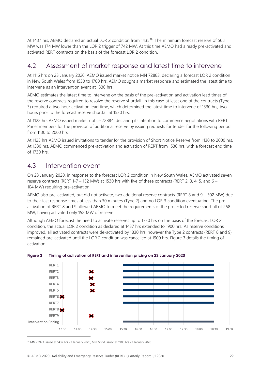At 1437 hrs, AEMO declared an actual LOR 2 condition from 1435<sup>28</sup>. The minimum forecast reserve of 568 MW was 174 MW lower than the LOR 2 trigger of 742 MW. At this time AEMO had already pre-activated and activated RERT contracts on the basis of the forecast LOR 2 condition.

### <span id="page-21-0"></span>4.2 Assessment of market response and latest time to intervene

At 1116 hrs on 23 January 2020, AEMO issued market notice MN 72883, declaring a forecast LOR 2 condition in New South Wales from 1530 to 1700 hrs. AEMO sought a market response and estimated the latest time to intervene as an intervention event at 1330 hrs.

AEMO estimates the latest time to intervene on the basis of the pre-activation and activation lead times of the reserve contracts required to resolve the reserve shortfall. In this case at least one of the contracts (Type 3) required a two-hour activation lead time, which determined the latest time to intervene of 1330 hrs, two hours prior to the forecast reserve shortfall at 1530 hrs.

At 1122 hrs AEMO issued market notice 72884, declaring its intention to commence negotiations with RERT Panel members for the provision of additional reserve by issuing requests for tender for the following period from 1130 to 2000 hrs.

At 1125 hrs AEMO issued invitations to tender for the provision of Short Notice Reserve from 1130 to 2000 hrs. At 1330 hrs, AEMO commenced pre-activation and activation of RERT from 1530 hrs, with a forecast end time of 1730 hrs.

#### <span id="page-21-1"></span>4.3 Intervention event

On 23 January 2020, in response to the forecast LOR 2 condition in New South Wales, AEMO activated seven reserve contracts (RERT 1-7 – 152 MW) at 1530 hrs with five of these contracts (RERT 2, 3, 4, 5, and 6 – 104 MW) requiring pre-activation.

AEMO also pre-activated, but did not activate, two additional reserve contracts (RERT 8 and 9 – 302 MW) due to their fast response times of less than 30 minutes (Type 2) and no LOR 3 condition eventuating. The preactivation of RERT 8 and 9 allowed AEMO to meet the requirements of the projected reserve shortfall of 258 MW, having activated only 152 MW of reserve.

Although AEMO forecast the need to activate reserves up to 1730 hrs on the basis of the forecast LOR 2 condition, the actual LOR 2 condition as declared at 1437 hrs extended to 1900 hrs. As reserve conditions improved, all activated contracts were de-activated by 1830 hrs, however the Type 2 contracts (RERT 8 and 9) remained pre-activated until the LOR 2 condition was cancelled at 1900 hrs. Figure 3 details the timing of activation.



#### <span id="page-21-2"></span>**Figure 3 Timing of activation of RERT and intervention pricing on 23 January 2020**

 $28$  MN 72923 issued at 1437 hrs 23 January 2020, MN 72951 issued at 1900 hrs 23 January 2020.

© AEMO 2020 | Reliability and Emergency Reserve Trader (RERT) Quarterly Report Q1 2020 22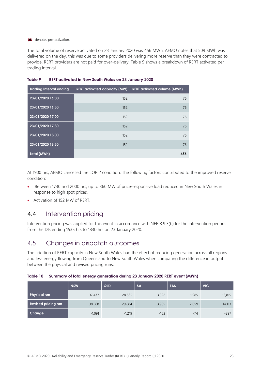#### **to denotes pre-activation.**

The total volume of reserve activated on 23 January 2020 was 456 MWh. AEMO notes that 509 MWh was delivered on the day, this was due to some providers delivering more reserve than they were contracted to provide. RERT providers are not paid for over-delivery. Table 9 shows a breakdown of RERT activated per trading interval.

| <b>Trading Interval ending</b> | <b>RERT</b> activated capacity (MW) | <b>RERT activated volume (MWh)</b> |
|--------------------------------|-------------------------------------|------------------------------------|
| 23/01/2020 16:00               | 152                                 | 76                                 |
| 23/01/2020 16:30               | 152                                 | 76                                 |
| 23/01/2020 17:00               | 152                                 | 76                                 |
| 23/01/2020 17:30               | 152                                 | 76                                 |
| 23/01/2020 18:00               | 152                                 | 76                                 |
| 23/01/2020 18:30               | 152                                 | 76                                 |
| Total (MWh)                    |                                     | 456                                |

<span id="page-22-2"></span>**Table 9 RERT activated in New South Wales on 23 January 2020**

At 1900 hrs, AEMO cancelled the LOR 2 condition. The following factors contributed to the improved reserve condition:

- Between 1730 and 2000 hrs, up to 360 MW of price-responsive load reduced in New South Wales in response to high spot prices.
- Activation of 152 MW of RFRT

#### <span id="page-22-0"></span>4.4 Intervention pricing

Intervention pricing was applied for this event in accordance with NER 3.9.3(b) for the intervention periods from the DIs ending 1535 hrs to 1830 hrs on 23 January 2020.

#### <span id="page-22-1"></span>4.5 Changes in dispatch outcomes

The addition of RERT capacity in New South Wales had the effect of reducing generation across all regions and less energy flowing from Queensland to New South Wales when comparing the difference in output between the physical and revised pricing runs.

|                            | <b>NSW</b> | QLD      | <b>SA</b> | <b>TAS</b> | <b>VIC</b> |
|----------------------------|------------|----------|-----------|------------|------------|
| <b>Physical run</b>        | 37,477     | 28,665   | 3,822     | 1,985      | 13,815     |
| <b>Revised pricing run</b> | 38,568     | 29,884   | 3,985     | 2,059      | 14,113     |
| Change                     | $-1,091$   | $-1,219$ | $-163$    | $-74$      | $-297$     |

<span id="page-22-3"></span>**Table 10 Summary of total energy generation during 23 January 2020 RERT event (MWh)**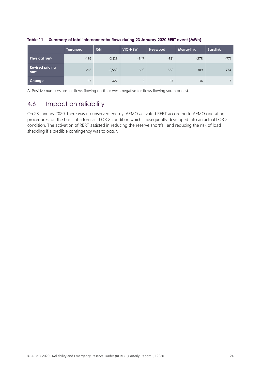|                                                  | Terranora' | QNI      | <b>VIC-NSW</b> | Heywood | Murraylink, | <b>Basslink</b> |
|--------------------------------------------------|------------|----------|----------------|---------|-------------|-----------------|
| Physical run <sup>A</sup>                        | $-159$     | $-2,126$ | $-647$         | $-511$  | $-275$      | $-771$          |
| <b>Revised pricing</b><br><b>run<sup>A</sup></b> | $-212$     | $-2,553$ | $-650$         | $-568$  | $-309$      | $-774$          |
| Change                                           | 53         | 427      | 3              | 57      | 34          |                 |

#### <span id="page-23-1"></span>**Table 11 Summary of total interconnector flows during 23 January 2020 RERT event (MWh)**

A. Positive numbers are for flows flowing north or west, negative for flows flowing south or east.

### <span id="page-23-0"></span>4.6 Impact on reliability

On 23 January 2020, there was no unserved energy. AEMO activated RERT according to AEMO operating procedures, on the basis of a forecast LOR 2 condition which subsequently developed into an actual LOR 2 condition. The activation of RERT assisted in reducing the reserve shortfall and reducing the risk of load shedding if a credible contingency was to occur.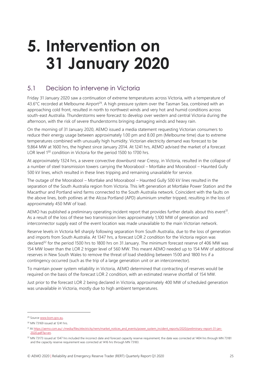# <span id="page-24-0"></span>**5. Intervention on 31 January 2020**

### <span id="page-24-1"></span>5.1 Decision to intervene in Victoria

Friday 31 January 2020 saw a continuation of extreme temperatures across Victoria, with a temperature of 43.6°C recorded at Melbourne Airport<sup>29</sup>. A high pressure system over the Tasman Sea, combined with an approaching cold front, resulted in north to northwest winds and very hot and humid conditions across south-east Australia. Thunderstorms were forecast to develop over western and central Victoria during the afternoon, with the risk of severe thunderstorms bringing damaging winds and heavy rain.

On the morning of 31 January 2020, AEMO issued a media statement requesting Victorian consumers to reduce their energy usage between approximately 1.00 pm and 8.00 pm (Melbourne time) due to extreme temperatures combined with unusually high humidity. Victorian electricity demand was forecast to be 9,864 MW at 1600 hrs, the highest since January 2014. At 1241 hrs, AEMO advised the market of a forecast LOR level 1<sup>30</sup> condition in Victoria for the period 1500 to 1700 hrs.

At approximately 1324 hrs, a severe convective downburst near Cressy, in Victoria, resulted in the collapse of a number of steel transmission towers carrying the Moorabool – Mortlake and Moorabool – Haunted Gully 500 kV lines, which resulted in these lines tripping and remaining unavailable for service.

The outage of the Moorabool – Mortlake and Moorabool – Haunted Gully 500 kV lines resulted in the separation of the South Australia region from Victoria. This left generation at Mortlake Power Station and the Macarthur and Portland wind farms connected to the South Australia network. Coincident with the faults on the above lines, both potlines at the Alcoa Portland (APD) aluminium smelter tripped, resulting in the loss of approximately 450 MW of load.

AEMO has published a preliminary operating incident report that provides further details about this event<sup>31</sup>. As a result of the loss of these two transmission lines approximately 1,100 MW of generation and interconnector supply east of the event location was made unavailable to the main Victorian network.

Reserve levels in Victoria fell sharply following separation from South Australia, due to the loss of generation and imports from South Australia. At 1347 hrs, a forecast LOR 2 condition for the Victoria region was declared<sup>32</sup> for the period 1500 hrs to 1800 hrs on 31 January. The minimum forecast reserve of 406 MW was 154 MW lower than the LOR 2 trigger level of 560 MW. This meant AEMO needed up to 154 MW of additional reserves in New South Wales to remove the threat of load shedding between 1500 and 1800 hrs if a contingency occurred (such as the trip of a large generation unit or an interconnector).

To maintain power system reliability in Victoria, AEMO determined that contracting of reserves would be required on the basis of the forecast LOR 2 condition, with an estimated reserve shortfall of 154 MW.

Just prior to the forecast LOR 2 being declared in Victoria, approximately 400 MW of scheduled generation was unavailable in Victoria, mostly due to high ambient temperatures.

<sup>&</sup>lt;sup>29</sup> Sourc[e www.bom.gov.au.](http://www.bom.gov.au/)

<sup>30</sup> MN 73169 issued at 1241 hrs.

<sup>&</sup>lt;sup>31</sup> A[t https://aemo.com.au/-/media/files/electricity/nem/market\\_notices\\_and\\_events/power\\_system\\_incident\\_reports/2020/preliminary-report-31-jan-](https://aemo.com.au/-/media/files/electricity/nem/market_notices_and_events/power_system_incident_reports/2020/preliminary-report-31-jan-2020.pdf?la=en)[2020.pdf?la=en.](https://aemo.com.au/-/media/files/electricity/nem/market_notices_and_events/power_system_incident_reports/2020/preliminary-report-31-jan-2020.pdf?la=en)

<sup>32</sup> MN 73173 issued at 1347 hrs included the incorrect date and forecast capacity reserve requirement; the date was corrected at 1404 hrs through MN 73181 and the capacity reserve requirement was corrected at 1416 hrs through MN 73183.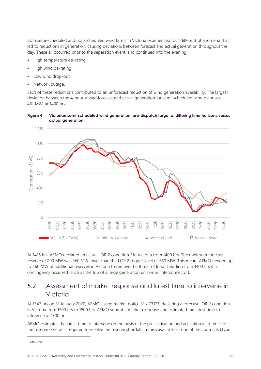Both semi-scheduled and non-scheduled wind farms in Victoria experienced four different phenomena that led to reductions in generation, causing deviations between forecast and actual generation throughout the day. These all occurred prior to the separation event, and continued into the evening:

- High temperature de-rating.
- High wind de-rating.
- Low wind drop-out.
- Network outage.

Each of these reductions contributed to an unforecast reduction of wind generation availability. The largest deviation between the 4-hour-ahead forecast and actual generation for semi-scheduled wind plant was 461 MW, at 1400 hrs.



#### <span id="page-25-1"></span>**Figure 4 Victorian semi-scheduled wind generation, pre-dispatch target at differing time horizons versus actual generation**

At 1416 hrs. AEMO declared an actual LOR 2 condition<sup>33</sup> in Victoria from 1400 hrs. The minimum forecast reserve of 200 MW was 360 MW lower than the LOR 2 trigger level of 560 MW. This meant AEMO needed up to 360 MW of additional reserves in Victoria to remove the threat of load shedding from 1400 hrs if a contingency occurred (such as the trip of a large generation unit or an interconnector).

#### <span id="page-25-0"></span>5.2 Assessment of market response and latest time to intervene in Victoria

At 1347 hrs on 31 January 2020, AEMO issued market notice MN 73173, declaring a forecast LOR 2 condition in Victoria from 1500 hrs to 1800 hrs. AEMO sought a market response and estimated the latest time to intervene at 1300 hrs.

AEMO estimates the latest time to intervene on the basis of the pre-activation and activation lead times of the reserve contracts required to resolve the reserve shortfall. In this case, at least one of the contracts (Type

<sup>33</sup> MN 73183.

<sup>©</sup> AEMO 2020 | Reliability and Emergency Reserve Trader (RERT) Quarterly Report Q1 2020 26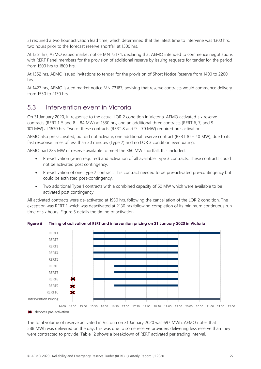3) required a two hour activation lead time, which determined that the latest time to intervene was 1300 hrs, two hours prior to the forecast reserve shortfall at 1500 hrs.

At 1351 hrs, AEMO issued market notice MN 73174, declaring that AEMO intended to commence negotiations with RERT Panel members for the provision of additional reserve by issuing requests for tender for the period from 1500 hrs to 1800 hrs.

At 1352 hrs, AEMO issued invitations to tender for the provision of Short Notice Reserve from 1400 to 2200 hrs.

At 1427 hrs, AEMO issued market notice MN 73187, advising that reserve contracts would commence delivery from 1530 to 2130 hrs.

### <span id="page-26-0"></span>5.3 Intervention event in Victoria

On 31 January 2020, in response to the actual LOR 2 condition in Victoria, AEMO activated six reserve contracts (RERT 1-5 and  $8 - 84$  MW) at 1530 hrs, and an additional three contracts (RERT 6, 7, and 9 – 101 MW) at 1630 hrs. Two of these contracts (RERT 8 and 9 – 70 MW) required pre-activation.

AEMO also pre-activated, but did not activate, one additional reserve contract (RERT 10 – 40 MW), due to its fast response times of less than 30 minutes (Type 2) and no LOR 3 condition eventuating.

AEMO had 285 MW of reserve available to meet the 360 MW shortfall, this included:

- Pre-activation (when required) and activation of all available Type 3 contracts. These contracts could not be activated post contingency.
- Pre-activation of one Type 2 contract. This contract needed to be pre-activated pre-contingency but could be activated post-contingency.
- Two additional Type 1 contracts with a combined capacity of 60 MW which were available to be activated post contingency

All activated contracts were de-activated at 1930 hrs, following the cancellation of the LOR 2 condition. The exception was RERT 1 which was deactivated at 2130 hrs following completion of its minimum continuous run time of six hours. Figure 5 details the timing of activation.



<span id="page-26-1"></span>**Figure 5 Timing of activation of RERT and intervention pricing on 31 January 2020 in Victoria**

The total volume of reserve activated in Victoria on 31 January 2020 was 697 MWh. AEMO notes that 588 MWh was delivered on the day, this was due to some reserve providers delivering less reserve than they were contracted to provide. Table 12 shows a breakdown of RERT activated per trading interval.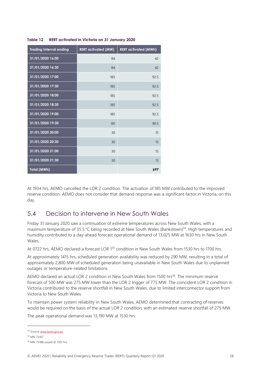| <b>Trading Interval ending</b> | <b>RERT</b> activated (MW) | <b>RERT activated (MWh)</b> |
|--------------------------------|----------------------------|-----------------------------|
| 31/01/2020 16:00               | 84                         | 42                          |
| 31/01/2020 16:30               | 84                         | 42                          |
| 31/01/2020 17:00               | 185                        | 92.5                        |
| 31/01/2020 17:30               | 185                        | 92.5                        |
| 31/01/2020 18:00               | 185                        | 92.5                        |
| 31/01/2020 18:30               | 185                        | 92.5                        |
| 31/01/2020 19:00               | 185                        | 92.5                        |
| 31/01/2020 19:30               | 181                        | 90.5                        |
| 31/01/2020 20:00               | 30                         | 15                          |
| 31/01/2020 20:30               | 30                         | 15                          |
| 31/01/2020 21:00               | 30                         | 15                          |
| 31/01/2020 21:30               | 30                         | 15                          |
| <b>Total (MWh)</b>             |                            | 697                         |

#### <span id="page-27-1"></span>**Table 12 RERT activated in Victoria on 31 January 2020**

At 1934 hrs, AEMO cancelled the LOR 2 condition. The activation of 185 MW contributed to the improved reserve condition. AEMO does not consider that demand response was a significant factor in Victoria, on this day.

#### <span id="page-27-0"></span>5.4 Decision to intervene in New South Wales

Friday 31 January 2020 saw a continuation of extreme temperatures across New South Wales, with a maximum temperature of 35.5 °C being recorded at New South Wales (Bankstown)<sup>34</sup>. High temperatures and humidity contributed to a day-ahead forecast operational demand of 13,025 MW at 1630 hrs in New South Wales.

At 0722 hrs, AEMO declared a forecast LOR 1<sup>35</sup> condition in New South Wales from 1530 hrs to 1700 hrs.

At approximately 1415 hrs, scheduled generation availability was reduced by 290 MW, resulting in a total of approximately 2,800 MW of scheduled generation being unavailable in New South Wales due to unplanned outages or temperature-related limitations.

AEMO declared an actual LOR 2 condition in New South Wales from 1500 hrs<sup>36</sup>. The minimum reserve forecast of 500 MW was 275 MW lower than the LOR 2 trigger of 775 MW. The coincident LOR 2 condition in Victoria contributed to the reserve shortfall in New South Wales, due to limited interconnector support from Victoria to New South Wales.

To maintain power system reliability in New South Wales, AEMO determined that contracting of reserves would be required on the basis of the actual LOR 2 condition, with an estimated reserve shortfall of 275 MW.

The peak operational demand was 13,190 MW at 1530 hrs.

<sup>&</sup>lt;sup>34</sup> Sourc[e www.bom.gov.au.](http://www.bom.gov.au/)

<sup>35</sup> MN 73167.

<sup>36</sup> MN 73188 issued at 1501 hrs.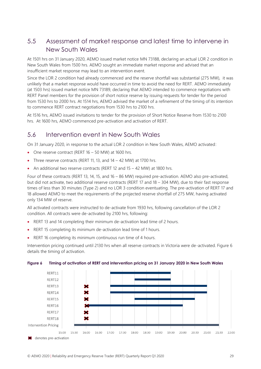### <span id="page-28-0"></span>5.5 Assessment of market response and latest time to intervene in New South Wales

At 1501 hrs on 31 January 2020, AEMO issued market notice MN 73188, declaring an actual LOR 2 condition in New South Wales from 1500 hrs. AEMO sought an immediate market response and advised that an insufficient market response may lead to an intervention event.

Since the LOR 2 condition had already commenced and the reserve shortfall was substantial (275 MW), it was unlikely that a market response would have occurred in time to avoid the need for RERT. AEMO immediately (at 1503 hrs) issued market notice MN 73189, declaring that AEMO intended to commence negotiations with RERT Panel members for the provision of short notice reserve by issuing requests for tender for the period from 1530 hrs to 2000 hrs. At 1514 hrs, AEMO advised the market of a refinement of the timing of its intention to commence RERT contract negotiations from 1530 hrs to 2100 hrs.

At 1516 hrs, AEMO issued invitations to tender for the provision of Short Notice Reserve from 1530 to 2100 hrs. At 1600 hrs, AEMO commenced pre-activation and activation of RERT.

#### <span id="page-28-1"></span>5.6 Intervention event in New South Wales

On 31 January 2020, in response to the actual LOR 2 condition in New South Wales, AEMO activated:

- One reserve contract (RERT 16 50 MW) at 1600 hrs.
- Three reserve contracts (RERT 11, 13, and 14 42 MW) at 1700 hrs.
- An additional two reserve contracts (RERT 12 and 15 42 MW) at 1800 hrs.

Four of these contracts (RERT 13, 14, 15, and 16 – 86 MW) required pre-activation. AEMO also pre-activated, but did not activate, two additional reserve contracts (RERT 17 and 18 – 304 MW), due to their fast response times of less than 30 minutes (Type 2) and no LOR 3 condition eventuating. The pre-activation of RERT 17 and 18 allowed AEMO to meet the requirements of the projected reserve shortfall of 275 MW, having activated only 134 MW of reserve.

All activated contracts were instructed to de-activate from 1930 hrs, following cancellation of the LOR 2 condition. All contracts were de-activated by 2100 hrs, following:

- RERT 13 and 14 completing their minimum de-activation lead time of 2 hours.
- RERT 15 completing its minimum de-activation lead time of 1 hours.
- RERT 16 completing its minimum continuous run time of 4 hours.

Intervention pricing continued until 2130 hrs when all reserve contracts in Victoria were de-activated. Figure 6 details the timing of activation.

<span id="page-28-2"></span>**Figure 6 Timing of activation of RERT and intervention pricing on 31 January 2020 in New South Wales**

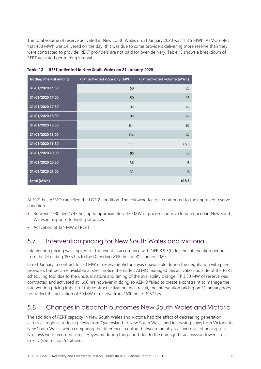The total volume of reserve activated in New South Wales on 31 January 2020 was 418.5 MWh. AEMO notes that 488 MWh was delivered on the day, this was due to some providers delivering more reserve than they were contracted to provide. RERT providers are not paid for over-delivery. Table 13 shows a breakdown of RERT activated per trading interval.

| <b>Trading Interval ending</b> | <b>RERT activated capacity (MW)</b> | <b>RERT activated volume (MWh)</b> |
|--------------------------------|-------------------------------------|------------------------------------|
| 31/01/2020 16:30               | 50                                  | 25                                 |
| 31/01/2020 17:00               | 50                                  | 25                                 |
| 31/01/2020 17:30               | 92                                  | 46                                 |
| 31/01/2020 18:00               | 92                                  | 46                                 |
| 31/01/2020 18:30               | 134                                 | 67                                 |
| 31/01/2020 19:00               | 134                                 | 67                                 |
| 31/01/2020 19:30               | 131                                 | 65.5                               |
| 31/01/2020 20:00               | 86                                  | 43                                 |
| 31/01/2020 20:30               | 36                                  | 18                                 |
| 31/01/2020 21:00               | 32                                  | 16                                 |
| <b>Total (MWh)</b>             |                                     | 418.5                              |

<span id="page-29-2"></span>**Table 13 RERT activated in New South Wales on 31 January 2020**

At 1921 hrs, AEMO cancelled the LOR 2 condition. The following factors contributed to the improved reserve condition:

- Between 1530 and 1745 hrs, up to approximately 430 MW of price-responsive load reduced in New South Wales in response to high spot prices.
- Activation of 134 MW of RERT.

### <span id="page-29-0"></span>5.7 Intervention pricing for New South Wales and Victoria

Intervention pricing was applied for this event in accordance with NER 3.9.3(b) for the intervention periods from the DI ending 1535 hrs to the DI ending 2130 hrs on 31 January 2020.

On 31 January, a contract for 50 MW of reserve in Victoria was unavailable during the negotiation with panel providers but became available at short notice thereafter. AEMO managed this activation outside of the RERT scheduling tool due to the unusual nature and timing of the availability change. This 50 MW of reserve was contracted and activated at 1600 hrs however in doing so AEMO failed to create a constraint to manage the intervention pricing impact of this contract activation. As a result, the intervention pricing on 31 January does not reflect the activation of 50 MW of reserve from 1600 hrs to 1937 hrs.

#### <span id="page-29-1"></span>5.8 Changes in dispatch outcomes New South Wales and Victoria

The addition of RERT capacity in New South Wales and Victoria had the effect of decreasing generation across all regions, reducing flows from Queensland to New South Wales and increasing flows from Victoria to New South Wales, when comparing the difference in output between the physical and revised pricing runs. No flows were recorded across Heywood during this period due to the damaged transmission towers in Cressy (see section 5.1 above).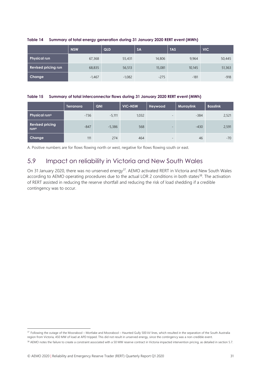|                            | <b>NSW</b> | QLD      | <b>SA</b> | <b>TAS</b> | <b>VIC</b> |
|----------------------------|------------|----------|-----------|------------|------------|
| <b>Physical run</b>        | 67,368     | 55,431   | 14,806    | 9,964      | 50,445     |
| <b>Revised pricing run</b> | 68,835     | 56,513   | 15,081    | 10,145     | 51,363     |
| Change                     | $-1,467$   | $-1,082$ | $-275$    | $-181$     | $-918$     |

#### <span id="page-30-1"></span>**Table 14 Summary of total energy generation during 31 January 2020 RERT event (MWh)**

#### <span id="page-30-2"></span>**Table 15 Summary of total interconnector flows during 31 January 2020 RERT event (MWh)**

|                                            | Terranora | QNI      | <b>VIC-NSW</b> | Heywood                  | <b>Murraylink</b> | <b>Basslink</b> |
|--------------------------------------------|-----------|----------|----------------|--------------------------|-------------------|-----------------|
| <b>Physical runA</b>                       | $-736$    | $-5.111$ | 1,032          | $\overline{\phantom{0}}$ | $-384$            | 2,521           |
| <b>Revised pricing</b><br>run <sup>A</sup> | $-847$    | $-5,386$ | 568            | $\overline{\phantom{0}}$ | $-430$            | 2,591           |
| Change                                     | 111       | 274      | 464            | $\overline{\phantom{0}}$ | 46                | $-70$           |

<span id="page-30-0"></span>A. Positive numbers are for flows flowing north or west, negative for flows flowing south or east.

#### 5.9 Impact on reliability in Victoria and New South Wales

On 31 January 2020, there was no unserved energy<sup>37</sup>. AEMO activated RERT in Victoria and New South Wales according to AEMO operating procedures due to the actual LOR 2 conditions in both states<sup>38</sup>. The activation of RERT assisted in reducing the reserve shortfall and reducing the risk of load shedding if a credible contingency was to occur.

<sup>37</sup> Following the outage of the Moorabool – Mortlake and Moorabool – Haunted Gully 500 kV lines, which resulted in the separation of the South Australia region from Victoria, 450 MW of load at APD tripped. This did not result in unserved energy, since the contingency was a non-credible event.

<sup>&</sup>lt;sup>38</sup> AEMO notes the failure to create a constraint associated with a 50 MW reserve contract in Victoria impacted intervention pricing, as detailed in section 5.7.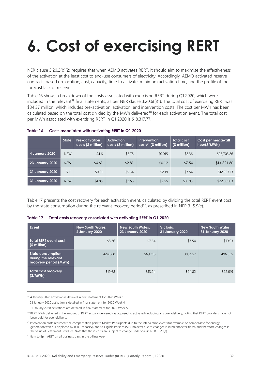# <span id="page-31-0"></span>**6. Cost of exercising RERT**

NER clause 3.20.2(b)(2) requires that when AEMO activates RERT, it should aim to maximise the effectiveness of the activation at the least cost to end-use consumers of electricity. Accordingly, AEMO activated reserve contracts based on location, cost, capacity, time to activate, minimum activation time, and the profile of the forecast lack of reserve.

Table 16 shows a breakdown of the costs associated with exercising RERT during Q1 2020, which were included in the relevant<sup>39</sup> final statements, as per NER clause 3.20.6(f)(1). The total cost of exercising RERT was \$34.37 million, which includes pre-activation, activation, and intervention costs. The cost per MWh has been calculated based on the total cost divided by the MWh delivered<sup>40</sup> for each activation event. The total cost per MWh associated with exercising RERT in Q1 2020 is \$18,317.77.

|                 | <b>State</b> | Pre-activation<br>costs (\$ million) | <b>Activation</b><br>costs (\$ million) | <b>Intervention</b><br>$costs41$ (\$ million) | <b>Total cost</b><br>(\$ million) | Cost per megawatt<br>hour(\$/MWh) |
|-----------------|--------------|--------------------------------------|-----------------------------------------|-----------------------------------------------|-----------------------------------|-----------------------------------|
| 4 January 2020  | <b>NSW</b>   | \$4.6                                | \$3.75                                  | \$0.015                                       | \$8.36                            | \$28,703.86                       |
| 23 January 2020 | <b>NSW</b>   | \$4.61                               | \$2.81                                  | \$0.12                                        | \$7.54                            | \$14,821.80                       |
| 31 January 2020 | VIC.         | \$0.01                               | \$5.34                                  | \$2.19                                        | \$7.54                            | \$12,823.13                       |
| 31 January 2020 | <b>NSW</b>   | \$4.85                               | \$3.53                                  | \$2.55                                        | \$10.93                           | \$22,381.03                       |

#### <span id="page-31-1"></span>**Table 16 Costs associated with activating RERT in Q1 2020**

Table 17 presents the cost recovery for each activation event, calculated by dividing the total RERT event cost by the state consumption during the relevant recovery period<sup>42</sup>, as prescribed in NER 3.15.9(e).

#### <span id="page-31-2"></span>**Table 17 Total costs recovery associated with activating RERT in Q1 2020**

| Event                                                                    | <b>New South Wales,</b><br>4 January 2020 | <b>New South Wales,</b><br><b>23 January 2020</b> | Victoria,<br><b>31 January 2020</b> | <b>New South Wales,</b><br>31 January 2020 |
|--------------------------------------------------------------------------|-------------------------------------------|---------------------------------------------------|-------------------------------------|--------------------------------------------|
| <b>Total RERT event cost</b><br>(\$ million)                             | \$8.36                                    | \$7.54                                            | \$7.54                              | \$10.93                                    |
| <b>State consumption</b><br>during the relevant<br>recovery period (MWh) | 424,888                                   | 569,316                                           | 303,957                             | 496,555                                    |
| <b>Total cost recovery</b><br>(S/MWh)                                    | \$19.68                                   | \$13.24                                           | \$24.82                             | \$22,019                                   |

<sup>39</sup> 4 January 2020 activation is detailed in final statement for 2020 Week 1

23 January 2020 activation is detailed in final statement for 2020 Week 4

 <sup>31</sup> January 2020 activations are detailed in final statement for 2020 Week 5

<sup>&</sup>lt;sup>40</sup> RERT MWh delivered is the amount of RERT actually delivered (as opposed to activated) including any over-delivery, noting that RERT providers have not been paid for over-delivery.

<sup>41</sup> Intervention costs represent the compensation paid to Market Participants due to the intervention event (for example, to compensate for energy generation which is displaced by RERT capacity), and to Eligible Persons (SRA holders) due to changes in interconnector flows, and therefore changes in the value of Settlement Residues. Note that these costs are subject to change under clause NER 3.12.1(a).

<sup>42</sup> 8am to 8pm AEST on all business days in the billing week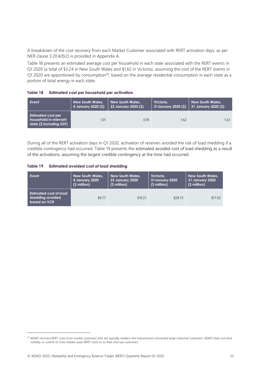A breakdown of the cost recovery from each Market Customer associated with RERT activation days, as per NER clause 3.20.6(f)(2) is provided in Appendix A.

Table 18 presents an estimated average cost per household in each state associated with the RERT events in Q1 2020 (a total of \$3.24 in New South Wales and \$1.62 in Victoria), assuming the cost of the RERT events in Q1 2020 are apportioned by consumption<sup>43</sup>, based on the average residential consumption in each state as a portion of total energy in each state.

<span id="page-32-0"></span>

| Estimated cost per household per activation | Table 18 |  |  |  |
|---------------------------------------------|----------|--|--|--|
|---------------------------------------------|----------|--|--|--|

| Event                                                                          | <b>New South Wales,</b> | <b>New South Wales,</b>           | Victoria.            | <b>New South Wales,</b> |
|--------------------------------------------------------------------------------|-------------------------|-----------------------------------|----------------------|-------------------------|
|                                                                                | 4 January 2020 (\$)     | 23 January 2020 (\$) <sup> </sup> | 31 January 2020 (\$) | 31 January 2020 (\$)    |
| <b>Estimated cost per</b><br>household in relevant<br>state (\$ including GST) | 1.01                    | 0.91                              | 1.62                 | 1.32                    |

During all of the RERT activation days in Q1 2020, activation of reserves avoided the risk of load shedding if a credible contingency had occurred. Table 19 presents the estimated avoided cost of load shedding as a result of the activations, assuming the largest credible contingency at the time had occurred.

#### <span id="page-32-1"></span>**Table 19 Estimated avoided cost of load shedding**

| Event                                                      | <b>New South Wales,</b> | <b>New South Wales,</b> | Victoria,      | <b>New South Wales,</b> |
|------------------------------------------------------------|-------------------------|-------------------------|----------------|-------------------------|
|                                                            | 4 January 2020          | <b>23 January 2020</b>  | 31January 2020 | 31 January 2020         |
|                                                            | (\$ million)            | (\$ million)            | (\$ million)   | (\$ million)            |
| Estimated cost of load<br>shedding avoided<br>based on VCR | \$9.77                  | \$19.21                 | \$28.72        | \$17.63                 |

<sup>43</sup> AEMO recovers RERT costs from *market customers* who are typically retailers and transmission connected large industrial customers. AEMO does not have visibility or control on how retailers pass RERT costs on to their end use customers.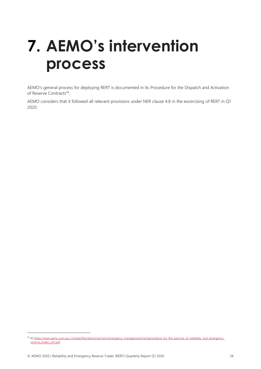# <span id="page-33-0"></span>**7. AEMO's intervention process**

AEMO's general process for deploying RERT is documented in its Procedure for the Dispatch and Activation of Reserve Contracts<sup>44</sup>.

AEMO considers that it followed all relevant provisions under NER clause 4.8 in the excercising of RERT in Q1 2020.

<sup>44</sup> A[t https://www.aemo.com.au/-/media/files/electricity/nem/emergency\\_management/rert/procedure\\_for\\_the\\_exercise\\_of\\_reliability\\_and\\_emergency\\_](https://www.aemo.com.au/-/media/files/electricity/nem/emergency_management/rert/procedure_for_the_exercise_of_reliability_and_emergency_reserve_trader_rert.pdf) [reserve\\_trader\\_rert.pdf.](https://www.aemo.com.au/-/media/files/electricity/nem/emergency_management/rert/procedure_for_the_exercise_of_reliability_and_emergency_reserve_trader_rert.pdf)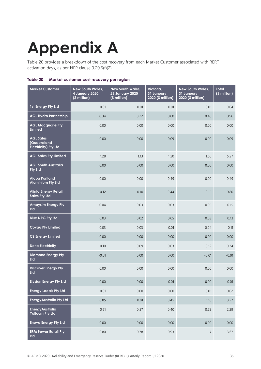# <span id="page-34-0"></span>**Appendix A**

Table 20 provides a breakdown of the cost recovery from each Market Customer associated with RERT activation days, as per NER clause 3.20.6(f)(2).

<span id="page-34-1"></span>

|  | Table 20 Market customer cost recovery per region |  |
|--|---------------------------------------------------|--|
|--|---------------------------------------------------|--|

| <b>Market Customer</b>                                         | <b>New South Wales,</b><br>4 January 2020<br>(\$ million) | <b>New South Wales,</b><br><b>23 January 2020</b><br>(\$ million) | Victoria,<br>31 January<br>2020 (\$ million) | <b>New South Wales,</b><br>31 January<br>2020 (\$ million) | <b>Total</b><br>(\$ million) |
|----------------------------------------------------------------|-----------------------------------------------------------|-------------------------------------------------------------------|----------------------------------------------|------------------------------------------------------------|------------------------------|
| 1st Energy Pty Ltd                                             | 0.01                                                      | 0.01                                                              | 0.01                                         | 0.01                                                       | 0.04                         |
| <b>AGL Hydro Partnership</b>                                   | 0.34                                                      | 0.22                                                              | 0.00                                         | 0.40                                                       | 0.96                         |
| <b>AGL Macquarie Pty</b><br>Limited                            | 0.00                                                      | 0.00                                                              | 0.00                                         | 0.00                                                       | 0.00                         |
| <b>AGL Sales</b><br>(Queensland<br><b>Electricity) Pty Ltd</b> | 0.00                                                      | 0.00                                                              | 0.09                                         | 0.00                                                       | 0.09                         |
| <b>AGL Sales Pty Limited</b>                                   | 1.28                                                      | 1.13                                                              | 1.20                                         | 1.66                                                       | 5.27                         |
| <b>AGL South Australia</b><br><b>Pty Ltd</b>                   | 0.00                                                      | 0.00                                                              | 0.00                                         | 0.00                                                       | 0.00                         |
| <b>Alcoa Portland</b><br><b>Aluminium Ply Ltd</b>              | 0.00                                                      | 0.00                                                              | 0.49                                         | 0.00                                                       | 0.49                         |
| <b>Alinta Energy Retail</b><br><b>Sales Pty Ltd</b>            | 0.12                                                      | 0.10                                                              | 0.44                                         | 0.15                                                       | 0.80                         |
| <b>Amaysim Energy Pty</b><br><b>Ltd</b>                        | 0.04                                                      | 0.03                                                              | 0.03                                         | 0.05                                                       | 0.15                         |
| <b>Blue NRG Pty Ltd</b>                                        | 0.03                                                      | 0.02                                                              | 0.05                                         | 0.03                                                       | 0.13                         |
| <b>Covau Pty Limited</b>                                       | 0.03                                                      | 0.03                                                              | 0.01                                         | 0.04                                                       | 0.11                         |
| <b>CS Energy Limited</b>                                       | 0.00                                                      | 0.00                                                              | 0.00                                         | 0.00                                                       | 0.00                         |
| <b>Delta Electricity</b>                                       | 0.10                                                      | 0.09                                                              | 0.03                                         | 0.12                                                       | 0.34                         |
| <b>Diamond Energy Pty</b><br>Ltd                               | $-0.01$                                                   | 0.00                                                              | 0.00                                         | $-0.01$                                                    | $-0.01$                      |
| <b>Discover Energy Pty</b><br>Ltd                              | 0.00                                                      | 0.00                                                              | 0.00                                         | 0.00                                                       | 0.00                         |
| <b>Elysian Energy Pty Ltd</b>                                  | 0.00                                                      | 0.00                                                              | 0.01                                         | 0.00                                                       | 0.01                         |
| <b>Energy Locals Pty Ltd</b>                                   | 0.01                                                      | 0.00                                                              | 0.00                                         | 0.01                                                       | 0.02                         |
| <b>EnergyAustralia Pty Ltd</b>                                 | 0.85                                                      | 0.81                                                              | 0.45                                         | 1.16                                                       | 3.27                         |
| <b>Energy Australia</b><br><b>Yallourn Pty Ltd</b>             | 0.61                                                      | 0.57                                                              | 0.40                                         | 0.72                                                       | 2.29                         |
| <b>Enova Energy Pty Ltd</b>                                    | 0.00                                                      | 0.00                                                              | 0.00                                         | 0.00                                                       | 0.00                         |
| <b>ERM Power Retail Pty</b><br>Ltd                             | 0.80                                                      | 0.78                                                              | 0.93                                         | 1.17                                                       | 3.67                         |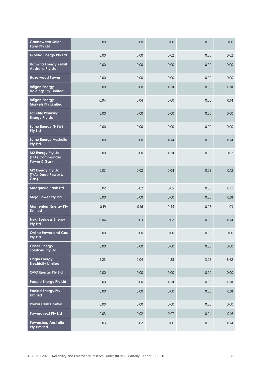| <b>Gannawarra Solar</b><br>Farm Pty Ltd              | 0.00 | 0.00 | 0.00 | 0.00 | 0.00     |
|------------------------------------------------------|------|------|------|------|----------|
| <b>Globird Energy Pty Ltd</b>                        | 0.00 | 0.00 | 0.02 | 0.00 | 0.02     |
| Hanwha Energy Retail<br><b>Australia Pty Ltd</b>     | 0.00 | 0.00 | 0.00 | 0.00 | 0.00     |
| <b>Hazelwood Power</b>                               | 0.00 | 0.00 | 0.00 | 0.00 | 0.00     |
| <b>Infigen Energy</b><br><b>Holdings Pty Limited</b> | 0.00 | 0.00 | 0.01 | 0.00 | 0.01     |
| <b>Infigen Energy</b><br><b>Markets Pty Limited</b>  | 0.04 | 0.04 | 0.00 | 0.05 | 0.14     |
| <b>Locality Planning</b><br><b>Energy Pty Ltd</b>    | 0.00 | 0.00 | 0.00 | 0.00 | 0.00     |
| Lumo Energy (NSW)<br><b>Pty Ltd</b>                  | 0.00 | 0.00 | 0.00 | 0.00 | 0.00     |
| Lumo Energy Australia<br><b>Pty Ltd</b>              | 0.00 | 0.00 | 0.14 | 0.00 | 0.14     |
| M2 Energy Pty Ltd<br>(T/As Commander<br>Power & Gas) | 0.00 | 0.00 | 0.01 | 0.00 | 0.02     |
| M2 Energy Pty Ltd<br>(T/As Dodo Power &<br>Gas)      | 0.03 | 0.02 | 0.04 | 0.03 | 0.12     |
| <b>Macquarie Bank Ltd</b>                            | 0.02 | 0.02 | 0.05 | 0.03 | 0.12     |
| Mojo Power Pty Ltd                                   | 0.00 | 0.00 | 0.00 | 0.00 | 0.01     |
| <b>Momentum Energy Pty</b><br><b>Limited</b>         | 0.19 | 0.16 | 0.45 | 0.23 | 1.03     |
| <b>Next Business Energy</b><br><b>Pty Ltd</b>        | 0.04 | 0.03 | 0.02 | 0.05 | 0.14     |
| <b>Online Power and Gas</b><br>Pty Ltd               | 0.00 | 0.00 | 0.00 | 0.00 | $0.00\,$ |
| <b>Onsite Energy</b><br>Solutions Pty Ltd            | 0.00 | 0.00 | 0.00 | 0.00 | 0.00     |
| <b>Origin Energy</b><br><b>Electricity Limited</b>   | 2.23 | 2.04 | 1.28 | 3.08 | 8.62     |
| <b>OVO Energy Pty Ltd</b>                            | 0.00 | 0.00 | 0.00 | 0.00 | 0.00     |
| People Energy Pty Ltd                                | 0.00 | 0.00 | 0.01 | 0.00 | 0.01     |
| <b>Pooled Energy Pty</b><br><b>Limited</b>           | 0.00 | 0.00 | 0.00 | 0.00 | 0.01     |
| Power Club Limited                                   | 0.00 | 0.00 | 0.00 | 0.00 | 0.00     |
| <b>Powerdirect Pty Ltd</b>                           | 0.03 | 0.02 | 0.07 | 0.04 | 0.16     |
| <b>Powershop Australia</b><br><b>Pty Limited</b>     | 0.03 | 0.02 | 0.06 | 0.03 | 0.14     |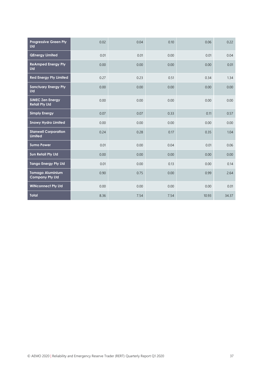| <b>Progressive Green Pty</b><br><b>Ltd</b>        | 0.02 | 0.04 | 0.10 | 0.06  | 0.22  |
|---------------------------------------------------|------|------|------|-------|-------|
| <b>QEnergy Limited</b>                            | 0.01 | 0.01 | 0.00 | 0.01  | 0.04  |
| <b>ReAmped Energy Pty</b><br><b>Ltd</b>           | 0.00 | 0.00 | 0.00 | 0.00  | 0.01  |
| <b>Red Energy Pty Limited</b>                     | 0.27 | 0.23 | 0.51 | 0.34  | 1.34  |
| <b>Sanctuary Energy Pty</b><br><b>Ltd</b>         | 0.00 | 0.00 | 0.00 | 0.00  | 0.00  |
| <b>SIMEC Zen Energy</b><br><b>Retail Pty Ltd</b>  | 0.00 | 0.00 | 0.00 | 0.00  | 0.00  |
| <b>Simply Energy</b>                              | 0.07 | 0.07 | 0.33 | 0.11  | 0.57  |
| <b>Snowy Hydro Limited</b>                        | 0.00 | 0.00 | 0.00 | 0.00  | 0.00  |
| <b>Stanwell Corporation</b><br>Limited            | 0.24 | 0.28 | 0.17 | 0.35  | 1.04  |
| <b>Sumo Power</b>                                 | 0.01 | 0.00 | 0.04 | 0.01  | 0.06  |
| <b>Sun Retail Pty Ltd</b>                         | 0.00 | 0.00 | 0.00 | 0.00  | 0.00  |
| <b>Tango Energy Pty Ltd</b>                       | 0.01 | 0.00 | 0.13 | 0.00  | 0.14  |
| <b>Tomago Aluminium</b><br><b>Company Pty Ltd</b> | 0.90 | 0.75 | 0.00 | 0.99  | 2.64  |
| <b>WINconnect Pty Ltd</b>                         | 0.00 | 0.00 | 0.00 | 0.00  | 0.01  |
| <b>Total</b>                                      | 8.36 | 7.54 | 7.54 | 10.93 | 34.37 |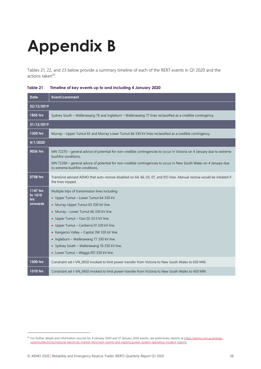# <span id="page-37-0"></span>**Appendix B**

Tables 21, 22, and 23 below provide a summary timeline of each of the RERT events in Q1 2020 and the actions taken<sup>45</sup>.

| <b>Date</b>                           | Event/comment                                                                                                                                                                                                                                                                                                                                                                                                                                          |
|---------------------------------------|--------------------------------------------------------------------------------------------------------------------------------------------------------------------------------------------------------------------------------------------------------------------------------------------------------------------------------------------------------------------------------------------------------------------------------------------------------|
| 22/12/2019                            |                                                                                                                                                                                                                                                                                                                                                                                                                                                        |
| 1855 hrs                              | Sydney South - Wallerawang 76 and Ingleburn - Wallerawang 77 lines reclassified as a credible contingency.                                                                                                                                                                                                                                                                                                                                             |
| 31/12/2019                            |                                                                                                                                                                                                                                                                                                                                                                                                                                                        |
| 1350 hrs                              | Murray - Upper Tumut 65 and Murray Lower Tumut 66 330 kV lines reclassified as a credible contingency.                                                                                                                                                                                                                                                                                                                                                 |
| 4/1/2020                              |                                                                                                                                                                                                                                                                                                                                                                                                                                                        |
| 0036 hrs                              | MN 72270 - general advice of potential for non-credible contingencies to occur in Victoria on 4 January due to extreme<br>bushfire conditions.<br>MN 72269 - general advice of potential for non-credible contingencies to occur in New South Wales on 4 January due<br>to extreme bushfire conditions.                                                                                                                                                |
| 0758 hrs                              | TransGrid advised AEMO that auto-reclose disabled on 64, 66, 03, 07, and 051 lines. Manual reclose would be initiated if<br>the lines tripped.                                                                                                                                                                                                                                                                                                         |
| 1147 hrs<br>to 1510<br>hrs<br>onwards | Multiple trips of transmission lines including:<br>• Upper Tumut - Lower Tumut 64 330 kV.<br>• Murray-Upper Tumut 65 330 kV line.<br>• Murray - Lower Tumut 66 330 kV line.<br>• Upper Tumut - Yass 02 33 0 kV line.<br>• Upper Tumut - Canberra 01 330 kV line.<br>• Kangaroo Valley – Capital 3W 330 kV line.<br>• Ingleburn - Wallerawang 77 330 kV line.<br>• Sydney South - Wallerawang 76 330 kV line.<br>• Lower Tumut - Wagga 051 330 kV line. |
| 1500 hrs                              | Constraint set I-VN_0650 invoked to limit power transfer from Victoria to New South Wales to 650 MW.                                                                                                                                                                                                                                                                                                                                                   |
| 1510 hrs                              | Constraint set I-VN_0450 invoked to limit power transfer from Victoria to New South Wales to 450 MW.                                                                                                                                                                                                                                                                                                                                                   |

#### <span id="page-37-1"></span>**Table 21 Timeline of key events up to and including 4 January 2020**

<sup>45</sup> For further details and information sources for 4 January 2020 and 31 January 2020 events, see preliminary reports a[t https://aemo.com.au/energy](https://aemo.com.au/energy-systems/electricity/national-electricity-market-nem/nem-events-and-reports/power-system-operating-incident-reports)[systems/electricity/national-electricity-market-nem/nem-events-and-reports/power-system-operating-incident-reports.](https://aemo.com.au/energy-systems/electricity/national-electricity-market-nem/nem-events-and-reports/power-system-operating-incident-reports)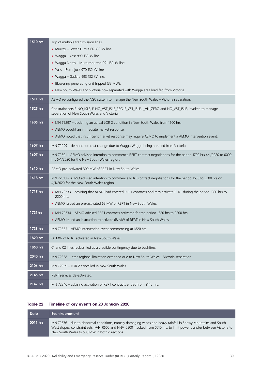| 1510 hrs | Trip of multiple transmission lines:                                                                                                                              |
|----------|-------------------------------------------------------------------------------------------------------------------------------------------------------------------|
|          | • Murray - Lower Tumut 66 330 kV line.                                                                                                                            |
|          | • Wagga $-$ Yass 990 132 kV line.                                                                                                                                 |
|          | • Wagga North - Murrumburrah 991 132 kV line.                                                                                                                     |
|          | • Yass - Burrinjuck 970 132 kV line.                                                                                                                              |
|          | • Wagga - Gadara 993 132 kV line.                                                                                                                                 |
|          | • Blowering generating unit tripped (33 MW).                                                                                                                      |
|          | • New South Wales and Victoria now separated with Wagga area load fed from Victoria.                                                                              |
| 1511 hrs | AEMO re-configured the AGC system to manage the New South Wales - Victoria separation.                                                                            |
| 1525 hrs | Constraint sets F-NQ_ISLE, F-NQ_VST_ISLE_REG, F_VST_ISLE, I_VN_ZERO and NQ_VST_ISLE, invoked to manage<br>separation of New South Wales and Victoria.             |
| 1605 hrs | • MN 72297 - declaring an actual LOR 2 condition in New South Wales from 1600 hrs.                                                                                |
|          | • AEMO sought an immediate market response.                                                                                                                       |
|          | • AEMO noted that insufficient market response may require AEMO to implement a AEMO intervention event.                                                           |
| 1607 hrs | MN 72299 - demand forecast change due to Wagga Wagga being area fed from Victoria.                                                                                |
| 1607 hrs | MN 72301 - AEMO advised intention to commence RERT contract negotiations for the period 1700 hrs 4/1/2020 to 0000<br>hrs 5/1/2020 for the New South Wales region. |
| 1610 hrs | AEMO pre-activated 300 MW of RERT in New South Wales.                                                                                                             |
| 1618 hrs | MN 72310 - AEMO advised intention to commence RERT contract negotiations for the period 1630 to 2200 hrs on<br>4/1/2020 for the New South Wales region.           |
| 1715 hrs | • MN 72333 - advising that AEMO had entered RERT contracts and may activate RERT during the period 1800 hrs to<br>2200 hrs.                                       |
|          | • AEMO issued an pre-activated 68 MW of RERT in New South Wales.                                                                                                  |
| 1731hrs  | • MN 72334 – AEMO advised RERT contracts activated for the period 1820 hrs to 2200 hrs.                                                                           |
|          | • AEMO issued an instruction to activate 68 MW of RERT in New South Wales.                                                                                        |
| 1739 hrs | MN 72335 - AEMO intervention event commencing at 1820 hrs.                                                                                                        |
| 1820 hrs | 68 MW of RERT activated in New South Wales.                                                                                                                       |
| 1850 hrs | 01 and 02 lines reclassified as a credible contingency due to bushfires.                                                                                          |
| 2040 hrs | MN 72338 - inter-regional limitation extended due to New South Wales - Victoria separation.                                                                       |
| 2106 hrs | MN 72339 - LOR 2 cancelled in New South Wales.                                                                                                                    |
| 2145 hrs | RERT services de-activated.                                                                                                                                       |
| 2147 hrs | MN 72340 - advising activation of RERT contracts ended from 2145 hrs.                                                                                             |

#### <span id="page-38-0"></span>**Table 22 Timeline of key events on 23 January 2020**

| <b>Date</b> | Event/comment                                                                                                                                                                                                                                                                            |
|-------------|------------------------------------------------------------------------------------------------------------------------------------------------------------------------------------------------------------------------------------------------------------------------------------------|
| 0011 hrs    | MN 72876 – due to abnormal conditions, namely damaging winds and heavy rainfall in Snowy Mountains and South<br>West slopes, constraint sets I-VN 0500 and I-NV 0500 invoked from 0010 hrs, to limit power transfer between Victoria to<br>New South Wales to 500 MW in both directions. |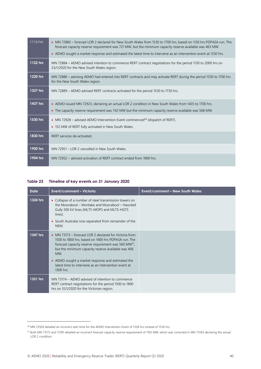| 1116 hrs | • MN 72883 – forecast LOR 2 declared for New South Wales from 1530 to 1700 hrs, based on 1130 hrs PDPASA run. The<br>forecast capacity reserve requirement was 721 MW, but the minimum capacity reserve available was 463 MW. |  |
|----------|-------------------------------------------------------------------------------------------------------------------------------------------------------------------------------------------------------------------------------|--|
|          | • AEMO sought a market response and estimated the latest time to intervene as an intervention event at 1330 hrs.                                                                                                              |  |
| 1122 hrs | MN 72884 - AEMO advised intention to commence RERT contract negotiations for the period 1130 to 2000 hrs on<br>23/1/2020 for the New South Wales region.                                                                      |  |
| 1220 hrs | MN 72886 – advising AEMO had entered into RERT contracts and may activate RERT during the period 1530 to 1700 hrs<br>for the New South Wales region.                                                                          |  |
| 1327 hrs | MN 72889 – AEMO advised RERT contracts activated for the period 1530 to 1730 hrs.                                                                                                                                             |  |
| 1437 hrs | • AEMO issued MN 72923, declaring an actual LOR 2 condition in New South Wales from 1435 to 1700 hrs.                                                                                                                         |  |
|          | • The capacity reserve requirement was 742 MW but the minimum capacity reserve available was 568 MW.                                                                                                                          |  |
| 1530 hrs | • MN 72928 – advised AEMO Intervention Event commenced <sup>46</sup> (dispatch of RERT).                                                                                                                                      |  |
|          | • 152 MW of RERT fully activated in New South Wales.                                                                                                                                                                          |  |
| 1830 hrs | RERT services de-activated.                                                                                                                                                                                                   |  |
| 1900 hrs | MN 72951 – LOR 2 cancelled in New South Wales.                                                                                                                                                                                |  |
| 1904 hrs | MN 72952 – advised activation of RERT contract ended from 1900 hrs.                                                                                                                                                           |  |

#### <span id="page-39-0"></span>**Table 23 Timeline of key events on 31 January 2020**

| <b>Date</b> | Event/comment - Victoria                                                                                                                                                                                                                                                                                                                                                 | <b>Event/comment - New South Wales</b> |
|-------------|--------------------------------------------------------------------------------------------------------------------------------------------------------------------------------------------------------------------------------------------------------------------------------------------------------------------------------------------------------------------------|----------------------------------------|
| 1324 hrs    | • Collapse of a number of steel transmission towers on<br>the Moorabool – Mortlake and Moorabool – Haunted<br>Gully 500 kV lines (MLTS-MOPS and MLTS-HGTS<br>lines).<br>• South Australia now separated from remainder of the<br>NEM.                                                                                                                                    |                                        |
| 1347 hrs    | • MN 73173 – forecast LOR 2 declared for Victoria from<br>1500 to 1800 hrs, based on 1400 hrs PDPASA run. The<br>forecast capacity reserve requirement was 560 MW <sup>47</sup> ,<br>but the minimum capacity reserve available was 406<br>MW.<br>• AEMO sought a market response and estimated the<br>latest time to intervene as an intervention event at<br>1300 hrs. |                                        |
| 1351 hrs    | MN 73174 – AEMO advised of intention to commence<br>RERT contract negotiations for the period 1500 to 1800<br>hrs on 31/1/2020 for the Victorian region.                                                                                                                                                                                                                 |                                        |

<sup>46</sup> MN 72928 detailed an incorrect start time for the AEMO Intervention Event of 1328 hrs instead of 1530 hrs.

<sup>&</sup>lt;sup>47</sup> Both MN 73173 and 73181 detailed an incorrect forecast capacity reserve requirement of 1105 MW, which was corrected in MN 73183 declaring the actual LOR 2 condition.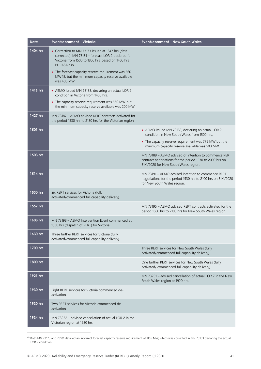| <b>Date</b> | <b>Event/comment - Victoria</b>                                                                                                                                             | <b>Event/comment - New South Wales</b>                                                                                                                     |
|-------------|-----------------------------------------------------------------------------------------------------------------------------------------------------------------------------|------------------------------------------------------------------------------------------------------------------------------------------------------------|
| 1404 hrs    | • Correction to MN 73173 issued at 1347 hrs (date<br>corrected). MN 73181 - forecast LOR 2 declared for<br>Victoria from 1500 to 1800 hrs, based on 1400 hrs<br>PDPASA run. |                                                                                                                                                            |
|             | • The forecast capacity reserve requirement was 560<br>MW48, but the minimum capacity reserve available<br>was 406 MW.                                                      |                                                                                                                                                            |
| 1416 hrs    | • AEMO issued MN 73183, declaring an actual LOR 2<br>condition in Victoria from 1400 hrs.                                                                                   |                                                                                                                                                            |
|             | • The capacity reserve requirement was 560 MW but<br>the minimum capacity reserve available was 200 MW.                                                                     |                                                                                                                                                            |
| 1427 hrs    | MN 73187 – AEMO advised RERT contracts activated for<br>the period 1530 hrs to 2130 hrs for the Victorian region.                                                           |                                                                                                                                                            |
| 1501 hrs    |                                                                                                                                                                             | • AEMO issued MN 73188, declaring an actual LOR 2<br>condition in New South Wales from 1500 hrs.                                                           |
|             |                                                                                                                                                                             | • The capacity reserve requirement was 775 MW but the<br>minimum capacity reserve available was 500 MW.                                                    |
| 1503 hrs    |                                                                                                                                                                             | MN 73189 - AEMO advised of intention to commence RERT<br>contract negotiations for the period 1530 to 2000 hrs on<br>31/1/2020 for New South Wales region. |
| 1514 hrs    |                                                                                                                                                                             | MN 73191 - AEMO advised intention to commence RERT<br>negotiations for the period 1530 hrs to 2100 hrs on 31/1/2020<br>for New South Wales region.         |
| 1530 hrs    | Six RERT services for Victoria (fully<br>activated/commenced full capability delivery).                                                                                     |                                                                                                                                                            |
| 1557 hrs    |                                                                                                                                                                             | MN 73195 - AEMO advised RERT contracts activated for the<br>period 1600 hrs to 2100 hrs for New South Wales region.                                        |
| 1608 hrs    | MN 73198 - AEMO Intervention Event commenced at<br>1530 hrs (dispatch of RERT) for Victoria.                                                                                |                                                                                                                                                            |
| 1630 hrs    | Three further RERT services for Victoria (fully<br>activated/commenced full capability delivery).                                                                           |                                                                                                                                                            |
| 1700 hrs    |                                                                                                                                                                             | Three RERT services for New South Wales (fully<br>activated/commenced full capability delivery).                                                           |
| 1800 hrs    |                                                                                                                                                                             | One further RERT services for New South Wales (fully<br>activated/ commenced full capability delivery).                                                    |
| 1921 hrs    |                                                                                                                                                                             | MN 73231 - advised cancellation of actual LOR 2 in the New<br>South Wales region at 1920 hrs.                                                              |
| 1930 hrs    | Eight RERT services for Victoria commenced de-<br>activation.                                                                                                               |                                                                                                                                                            |
| 1930 hrs    | Two RERT services for Victoria commenced de-<br>activation.                                                                                                                 |                                                                                                                                                            |
| 1934 hrs    | MN 73232 - advised cancellation of actual LOR 2 in the<br>Victorian region at 1930 hrs.                                                                                     |                                                                                                                                                            |

<sup>48</sup> Both MN 73173 and 73181 detailed an incorrect forecast capacity reserve requirement of 1105 MW, which was corrected in MN 73183 declaring the actual LOR 2 condition.